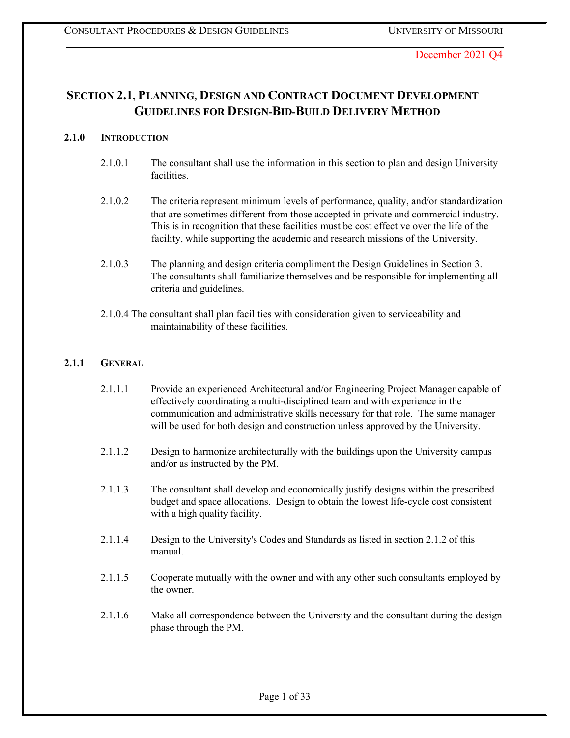# **SECTION 2.1, PLANNING, DESIGN AND CONTRACT DOCUMENT DEVELOPMENT GUIDELINES FOR DESIGN-BID-BUILD DELIVERY METHOD**

### **2.1.0 INTRODUCTION**

- 2.1.0.1 The consultant shall use the information in this section to plan and design University facilities.
- 2.1.0.2 The criteria represent minimum levels of performance, quality, and/or standardization that are sometimes different from those accepted in private and commercial industry. This is in recognition that these facilities must be cost effective over the life of the facility, while supporting the academic and research missions of the University.
- 2.1.0.3 The planning and design criteria compliment the Design Guidelines in Section 3. The consultants shall familiarize themselves and be responsible for implementing all criteria and guidelines.
- 2.1.0.4 The consultant shall plan facilities with consideration given to serviceability and maintainability of these facilities.

### **2.1.1 GENERAL**

- 2.1.1.1 Provide an experienced Architectural and/or Engineering Project Manager capable of effectively coordinating a multi-disciplined team and with experience in the communication and administrative skills necessary for that role. The same manager will be used for both design and construction unless approved by the University.
- 2.1.1.2 Design to harmonize architecturally with the buildings upon the University campus and/or as instructed by the PM.
- 2.1.1.3 The consultant shall develop and economically justify designs within the prescribed budget and space allocations. Design to obtain the lowest life-cycle cost consistent with a high quality facility.
- 2.1.1.4 Design to the University's Codes and Standards as listed in section 2.1.2 of this manual.
- 2.1.1.5 Cooperate mutually with the owner and with any other such consultants employed by the owner.
- 2.1.1.6 Make all correspondence between the University and the consultant during the design phase through the PM.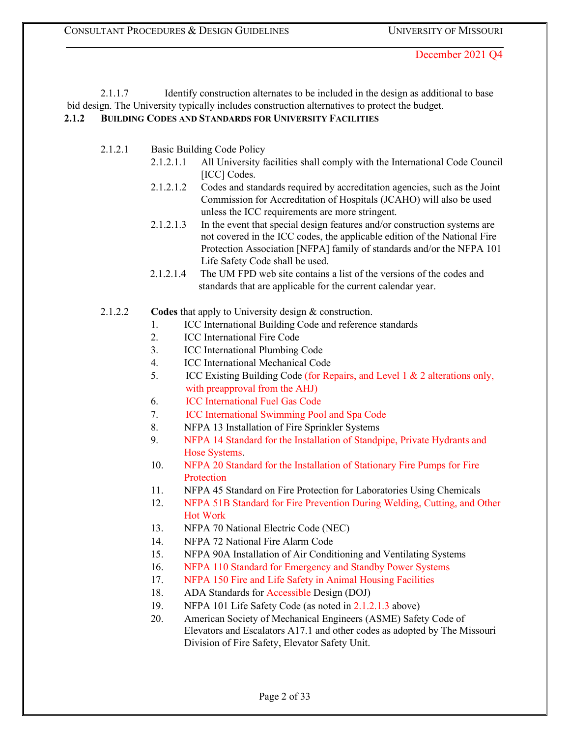2.1.1.7 Identify construction alternates to be included in the design as additional to base bid design. The University typically includes construction alternatives to protect the budget. **2.1.2 BUILDING CODES AND STANDARDS FOR UNIVERSITY FACILITIES**

- 2.1.2.1 Basic Building Code Policy
	- 2.1.2.1.1 All University facilities shall comply with the International Code Council [ICC] Codes.
	- 2.1.2.1.2 Codes and standards required by accreditation agencies, such as the Joint Commission for Accreditation of Hospitals (JCAHO) will also be used unless the ICC requirements are more stringent.
	- 2.1.2.1.3 In the event that special design features and/or construction systems are not covered in the ICC codes, the applicable edition of the National Fire Protection Association [NFPA] family of standards and/or the NFPA 101 Life Safety Code shall be used.
	- 2.1.2.1.4 The UM FPD web site contains a list of the versions of the codes and standards that are applicable for the current calendar year.
- 2.1.2.2 **Codes** that apply to University design & construction.
	- 1. ICC International Building Code and reference standards
	- 2. ICC International Fire Code
	- 3. ICC International Plumbing Code
	- 4. ICC International Mechanical Code
	- 5. ICC Existing Building Code (for Repairs, and Level 1 & 2 alterations only, with preapproval from the AHJ)
	- 6. ICC International Fuel Gas Code
	- 7. ICC International Swimming Pool and Spa Code
	- 8. NFPA 13 Installation of Fire Sprinkler Systems
	- 9. NFPA 14 Standard for the Installation of Standpipe, Private Hydrants and Hose Systems.
	- 10. NFPA 20 Standard for the Installation of Stationary Fire Pumps for Fire Protection
	- 11. NFPA 45 Standard on Fire Protection for Laboratories Using Chemicals
	- 12. NFPA 51B Standard for Fire Prevention During Welding, Cutting, and Other Hot Work
	- 13. NFPA 70 National Electric Code (NEC)
	- 14. NFPA 72 National Fire Alarm Code
	- 15. NFPA 90A Installation of Air Conditioning and Ventilating Systems
	- 16. NFPA 110 Standard for Emergency and Standby Power Systems
	- 17. NFPA 150 Fire and Life Safety in Animal Housing Facilities
	- 18. ADA Standards for Accessible Design (DOJ)
	- 19. NFPA 101 Life Safety Code (as noted in 2.1.2.1.3 above)
	- 20. American Society of Mechanical Engineers (ASME) Safety Code of Elevators and Escalators A17.1 and other codes as adopted by The Missouri Division of Fire Safety, Elevator Safety Unit.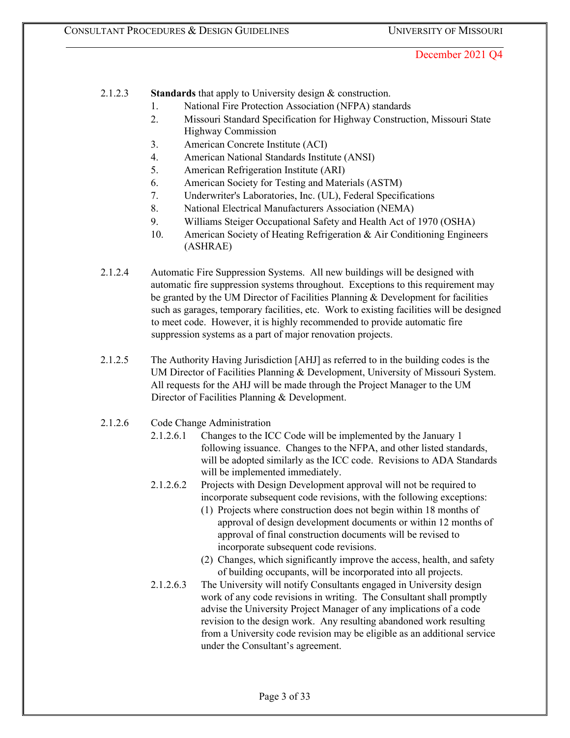2.1.2.3 **Standards** that apply to University design & construction.

- 1. National Fire Protection Association (NFPA) standards
- 2. Missouri Standard Specification for Highway Construction, Missouri State Highway Commission
- 3. American Concrete Institute (ACI)
- 4. American National Standards Institute (ANSI)
- 5. American Refrigeration Institute (ARI)
- 6. American Society for Testing and Materials (ASTM)
- 7. Underwriter's Laboratories, Inc. (UL), Federal Specifications
- 8. National Electrical Manufacturers Association (NEMA)
- 9. Williams Steiger Occupational Safety and Health Act of 1970 (OSHA)
- 10. American Society of Heating Refrigeration & Air Conditioning Engineers (ASHRAE)
- 2.1.2.4 Automatic Fire Suppression Systems. All new buildings will be designed with automatic fire suppression systems throughout. Exceptions to this requirement may be granted by the UM Director of Facilities Planning & Development for facilities such as garages, temporary facilities, etc. Work to existing facilities will be designed to meet code. However, it is highly recommended to provide automatic fire suppression systems as a part of major renovation projects.
- 2.1.2.5 The Authority Having Jurisdiction [AHJ] as referred to in the building codes is the UM Director of Facilities Planning & Development, University of Missouri System. All requests for the AHJ will be made through the Project Manager to the UM Director of Facilities Planning & Development.
- 2.1.2.6 Code Change Administration
	- 2.1.2.6.1 Changes to the ICC Code will be implemented by the January 1 following issuance. Changes to the NFPA, and other listed standards, will be adopted similarly as the ICC code. Revisions to ADA Standards will be implemented immediately.
	- 2.1.2.6.2 Projects with Design Development approval will not be required to incorporate subsequent code revisions, with the following exceptions:
		- (1) Projects where construction does not begin within 18 months of approval of design development documents or within 12 months of approval of final construction documents will be revised to incorporate subsequent code revisions.
		- (2) Changes, which significantly improve the access, health, and safety of building occupants, will be incorporated into all projects.
	- 2.1.2.6.3 The University will notify Consultants engaged in University design work of any code revisions in writing. The Consultant shall promptly advise the University Project Manager of any implications of a code revision to the design work. Any resulting abandoned work resulting from a University code revision may be eligible as an additional service under the Consultant's agreement.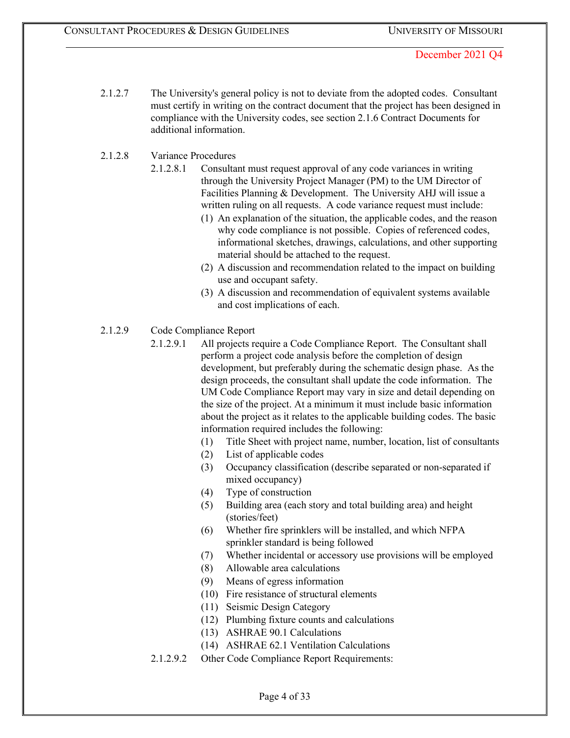- 2.1.2.7 The University's general policy is not to deviate from the adopted codes. Consultant must certify in writing on the contract document that the project has been designed in compliance with the University codes, see section 2.1.6 Contract Documents for additional information.
- 2.1.2.8 Variance Procedures
	- 2.1.2.8.1 Consultant must request approval of any code variances in writing through the University Project Manager (PM) to the UM Director of Facilities Planning & Development. The University AHJ will issue a written ruling on all requests. A code variance request must include:
		- (1) An explanation of the situation, the applicable codes, and the reason why code compliance is not possible. Copies of referenced codes, informational sketches, drawings, calculations, and other supporting material should be attached to the request.
		- (2) A discussion and recommendation related to the impact on building use and occupant safety.
		- (3) A discussion and recommendation of equivalent systems available and cost implications of each.
- 2.1.2.9 Code Compliance Report
	- 2.1.2.9.1 All projects require a Code Compliance Report. The Consultant shall perform a project code analysis before the completion of design development, but preferably during the schematic design phase. As the design proceeds, the consultant shall update the code information. The UM Code Compliance Report may vary in size and detail depending on the size of the project. At a minimum it must include basic information about the project as it relates to the applicable building codes. The basic information required includes the following:
		- (1) Title Sheet with project name, number, location, list of consultants
		- (2) List of applicable codes
		- (3) Occupancy classification (describe separated or non-separated if mixed occupancy)
		- (4) Type of construction
		- (5) Building area (each story and total building area) and height (stories/feet)
		- (6) Whether fire sprinklers will be installed, and which NFPA sprinkler standard is being followed
		- (7) Whether incidental or accessory use provisions will be employed
		- (8) Allowable area calculations
		- (9) Means of egress information
		- (10) Fire resistance of structural elements
		- (11) Seismic Design Category
		- (12) Plumbing fixture counts and calculations
		- (13) ASHRAE 90.1 Calculations
		- (14) ASHRAE 62.1 Ventilation Calculations
	- 2.1.2.9.2 Other Code Compliance Report Requirements: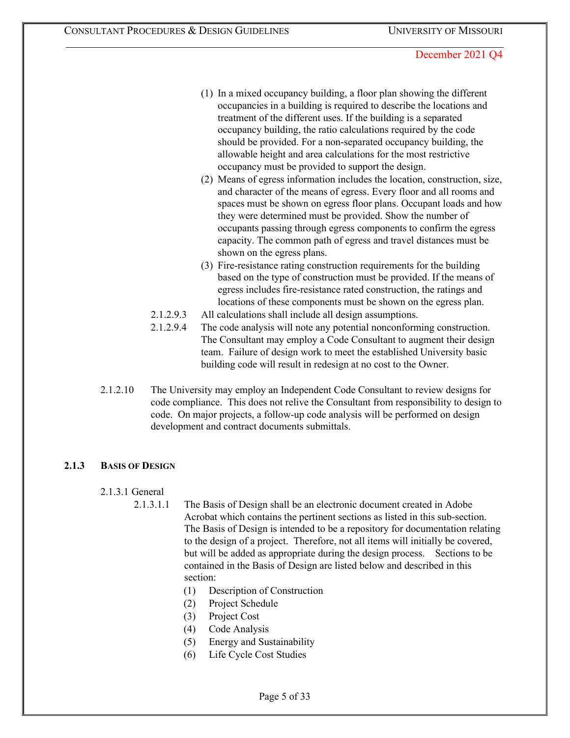- (1) In a mixed occupancy building, a floor plan showing the different occupancies in a building is required to describe the locations and treatment of the different uses. If the building is a separated occupancy building, the ratio calculations required by the code should be provided. For a non-separated occupancy building, the allowable height and area calculations for the most restrictive occupancy must be provided to support the design.
- (2) Means of egress information includes the location, construction, size, and character of the means of egress. Every floor and all rooms and spaces must be shown on egress floor plans. Occupant loads and how they were determined must be provided. Show the number of occupants passing through egress components to confirm the egress capacity. The common path of egress and travel distances must be shown on the egress plans.
- (3) Fire-resistance rating construction requirements for the building based on the type of construction must be provided. If the means of egress includes fire-resistance rated construction, the ratings and locations of these components must be shown on the egress plan.
- 2.1.2.9.3 All calculations shall include all design assumptions.
- 2.1.2.9.4 The code analysis will note any potential nonconforming construction. The Consultant may employ a Code Consultant to augment their design team. Failure of design work to meet the established University basic building code will result in redesign at no cost to the Owner.
- 2.1.2.10 The University may employ an Independent Code Consultant to review designs for code compliance. This does not relive the Consultant from responsibility to design to code. On major projects, a follow-up code analysis will be performed on design development and contract documents submittals.

# **2.1.3 BASIS OF DESIGN**

### 2.1.3.1 General

- 2.1.3.1.1 The Basis of Design shall be an electronic document created in Adobe Acrobat which contains the pertinent sections as listed in this sub-section. The Basis of Design is intended to be a repository for documentation relating to the design of a project. Therefore, not all items will initially be covered, but will be added as appropriate during the design process. Sections to be contained in the Basis of Design are listed below and described in this section:
	- (1) Description of Construction
	- (2) Project Schedule
	- (3) Project Cost
	- (4) Code Analysis
	- (5) Energy and Sustainability
	- (6) Life Cycle Cost Studies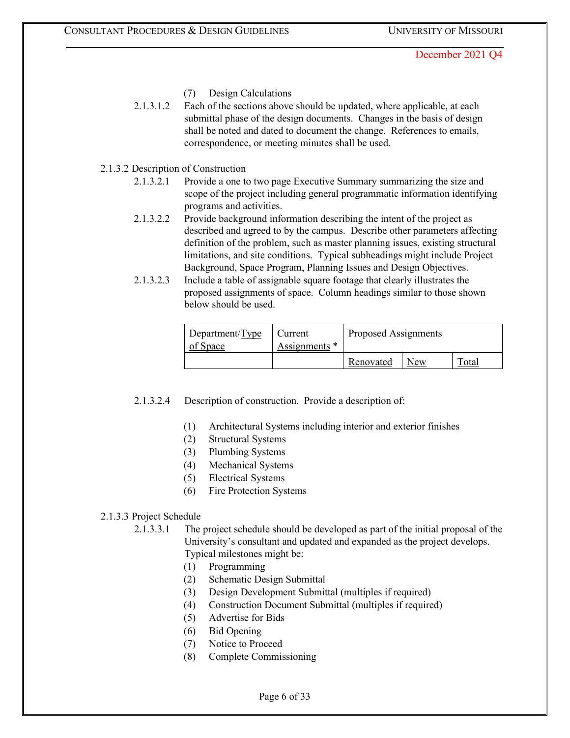- (7) Design Calculations
- 2.1.3.1.2 Each of the sections above should be updated, where applicable, at each submittal phase of the design documents. Changes in the basis of design shall be noted and dated to document the change. References to emails, correspondence, or meeting minutes shall be used.
- 2.1.3.2 Description of Construction
	- 2.1.3.2.1 Provide a one to two page Executive Summary summarizing the size and scope of the project including general programmatic information identifying programs and activities.
	- 2.1.3.2.2 Provide background information describing the intent of the project as described and agreed to by the campus. Describe other parameters affecting definition of the problem, such as master planning issues, existing structural limitations, and site conditions. Typical subheadings might include Project Background, Space Program, Planning Issues and Design Objectives.
	- 2.1.3.2.3 Include a table of assignable square footage that clearly illustrates the proposed assignments of space. Column headings similar to those shown below should be used.

| Department/ $Type$<br>of Space | Current<br>Assignments * | Proposed Assignments |            |       |
|--------------------------------|--------------------------|----------------------|------------|-------|
|                                |                          | Renovated            | <b>New</b> | Total |

2.1.3.2.4 Description of construction. Provide a description of:

- (1) Architectural Systems including interior and exterior finishes
- (2) Structural Systems
- (3) Plumbing Systems
- (4) Mechanical Systems
- (5) Electrical Systems
- (6) Fire Protection Systems

### 2.1.3.3 Project Schedule

- 2.1.3.3.1 The project schedule should be developed as part of the initial proposal of the University's consultant and updated and expanded as the project develops. Typical milestones might be:
	- (1) Programming
	- (2) Schematic Design Submittal
	- (3) Design Development Submittal (multiples if required)
	- (4) Construction Document Submittal (multiples if required)
	- (5) Advertise for Bids
	- (6) Bid Opening
	- (7) Notice to Proceed
	- (8) Complete Commissioning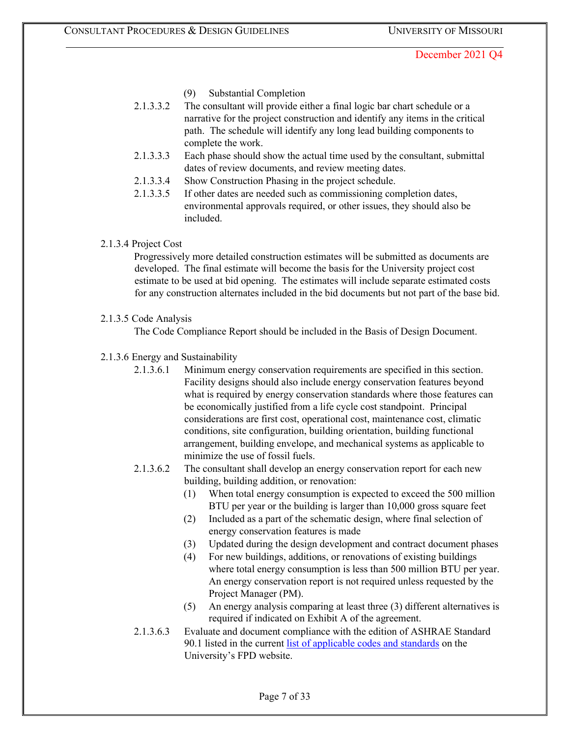- (9) Substantial Completion
- 2.1.3.3.2 The consultant will provide either a final logic bar chart schedule or a narrative for the project construction and identify any items in the critical path. The schedule will identify any long lead building components to complete the work.
- 2.1.3.3.3 Each phase should show the actual time used by the consultant, submittal dates of review documents, and review meeting dates.
- 2.1.3.3.4 Show Construction Phasing in the project schedule.
- 2.1.3.3.5 If other dates are needed such as commissioning completion dates, environmental approvals required, or other issues, they should also be included.
- 2.1.3.4 Project Cost

Progressively more detailed construction estimates will be submitted as documents are developed. The final estimate will become the basis for the University project cost estimate to be used at bid opening. The estimates will include separate estimated costs for any construction alternates included in the bid documents but not part of the base bid.

### 2.1.3.5 Code Analysis

The Code Compliance Report should be included in the Basis of Design Document.

### 2.1.3.6 Energy and Sustainability

- 2.1.3.6.1 Minimum energy conservation requirements are specified in this section. Facility designs should also include energy conservation features beyond what is required by energy conservation standards where those features can be economically justified from a life cycle cost standpoint. Principal considerations are first cost, operational cost, maintenance cost, climatic conditions, site configuration, building orientation, building functional arrangement, building envelope, and mechanical systems as applicable to minimize the use of fossil fuels.
- 2.1.3.6.2 The consultant shall develop an energy conservation report for each new building, building addition, or renovation:
	- (1) When total energy consumption is expected to exceed the 500 million BTU per year or the building is larger than 10,000 gross square feet
	- (2) Included as a part of the schematic design, where final selection of energy conservation features is made
	- (3) Updated during the design development and contract document phases
	- (4) For new buildings, additions, or renovations of existing buildings where total energy consumption is less than 500 million BTU per year. An energy conservation report is not required unless requested by the Project Manager (PM).
	- (5) An energy analysis comparing at least three (3) different alternatives is required if indicated on Exhibit A of the agreement.
- 2.1.3.6.3 Evaluate and document compliance with the edition of ASHRAE Standard 90.1 listed in the current [list of applicable codes and standards](https://collaborate.umsystem.edu/sites/fpd/public/docs/UM%20Code%20List.pdf) [o](https://collaborate.umsystem.edu/sites/fpd/public/docs/UM%20Code%20List.pdf)n the University's FPD website.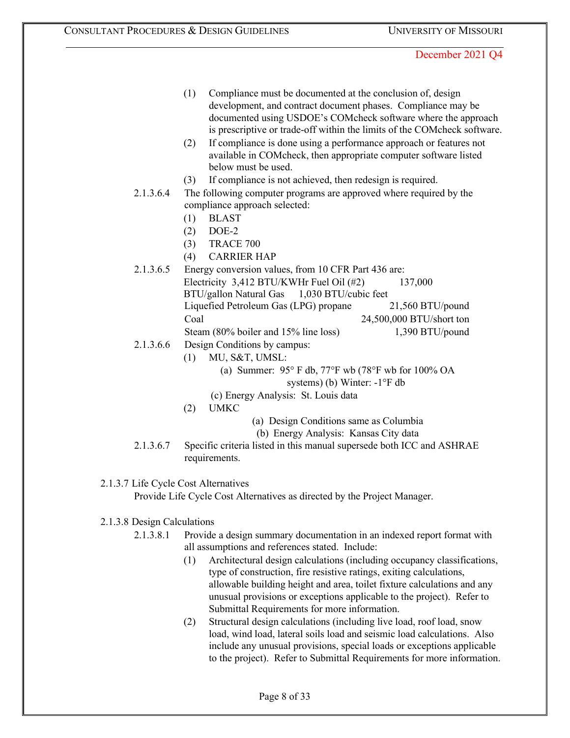- (1) Compliance must be documented at the conclusion of, design development, and contract document phases. Compliance may be documented using USDOE's COMcheck software where the approach is prescriptive or trade-off within the limits of the COMcheck software.
- (2) If compliance is done using a performance approach or features not available in COMcheck, then appropriate computer software listed below must be used.
- (3) If compliance is not achieved, then redesign is required.
- 2.1.3.6.4 The following computer programs are approved where required by the compliance approach selected:
	- (1) BLAST
	- (2) DOE-2
	- (3) TRACE 700
	- (4) CARRIER HAP
- 2.1.3.6.5 Energy conversion values, from 10 CFR Part 436 are: Electricity 3,412 BTU/KWHr Fuel Oil (#2) 137,000 BTU/gallon Natural Gas 1,030 BTU/cubic feet Liquefied Petroleum Gas (LPG) propane 21,560 BTU/pound Coal 24,500,000 BTU/short ton Steam (80% boiler and 15% line loss) 1,390 BTU/pound
- 2.1.3.6.6 Design Conditions by campus:
	- (1) MU, S&T, UMSL:
		- (a) Summer: 95° F db, 77°F wb (78°F wb for 100% OA systems) (b) Winter: -1°F db
		- (c) Energy Analysis: St. Louis data
	- (2) UMKC
- (a) Design Conditions same as Columbia
- (b) Energy Analysis: Kansas City data
- 2.1.3.6.7 Specific criteria listed in this manual supersede both ICC and ASHRAE requirements.

### 2.1.3.7 Life Cycle Cost Alternatives

Provide Life Cycle Cost Alternatives as directed by the Project Manager.

### 2.1.3.8 Design Calculations

- 2.1.3.8.1 Provide a design summary documentation in an indexed report format with all assumptions and references stated. Include:
	- (1) Architectural design calculations (including occupancy classifications, type of construction, fire resistive ratings, exiting calculations, allowable building height and area, toilet fixture calculations and any unusual provisions or exceptions applicable to the project). Refer to Submittal Requirements for more information.
	- (2) Structural design calculations (including live load, roof load, snow load, wind load, lateral soils load and seismic load calculations. Also include any unusual provisions, special loads or exceptions applicable to the project). Refer to Submittal Requirements for more information.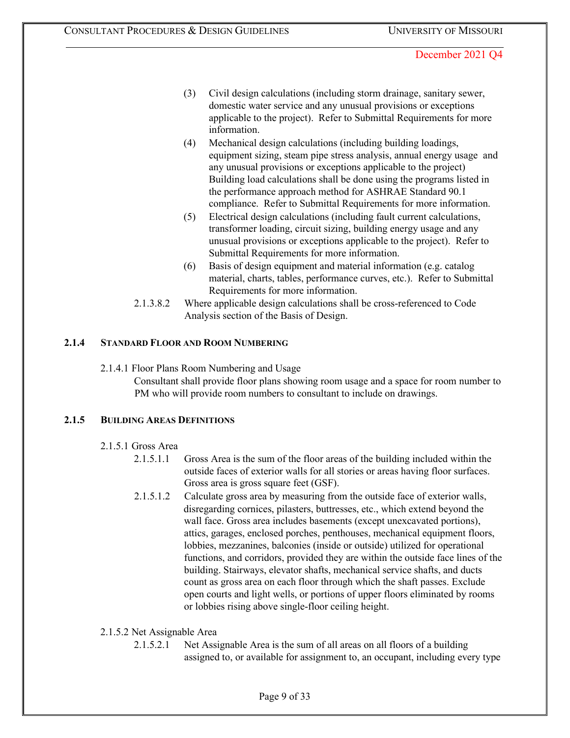- (3) Civil design calculations (including storm drainage, sanitary sewer, domestic water service and any unusual provisions or exceptions applicable to the project). Refer to Submittal Requirements for more information.
- (4) Mechanical design calculations (including building loadings, equipment sizing, steam pipe stress analysis, annual energy usage and any unusual provisions or exceptions applicable to the project) Building load calculations shall be done using the programs listed in the performance approach method for ASHRAE Standard 90.1 compliance. Refer to Submittal Requirements for more information.
- (5) Electrical design calculations (including fault current calculations, transformer loading, circuit sizing, building energy usage and any unusual provisions or exceptions applicable to the project). Refer to Submittal Requirements for more information.
- (6) Basis of design equipment and material information (e.g. catalog material, charts, tables, performance curves, etc.). Refer to Submittal Requirements for more information.
- 2.1.3.8.2 Where applicable design calculations shall be cross-referenced to Code Analysis section of the Basis of Design.

### **2.1.4 STANDARD FLOOR AND ROOM NUMBERING**

### 2.1.4.1 Floor Plans Room Numbering and Usage

Consultant shall provide floor plans showing room usage and a space for room number to PM who will provide room numbers to consultant to include on drawings.

### **2.1.5 BUILDING AREAS DEFINITIONS**

### 2.1.5.1 Gross Area

- 2.1.5.1.1 Gross Area is the sum of the floor areas of the building included within the outside faces of exterior walls for all stories or areas having floor surfaces. Gross area is gross square feet (GSF).
- 2.1.5.1.2 Calculate gross area by measuring from the outside face of exterior walls, disregarding cornices, pilasters, buttresses, etc., which extend beyond the wall face. Gross area includes basements (except unexcavated portions), attics, garages, enclosed porches, penthouses, mechanical equipment floors, lobbies, mezzanines, balconies (inside or outside) utilized for operational functions, and corridors, provided they are within the outside face lines of the building. Stairways, elevator shafts, mechanical service shafts, and ducts count as gross area on each floor through which the shaft passes. Exclude open courts and light wells, or portions of upper floors eliminated by rooms or lobbies rising above single-floor ceiling height.

### 2.1.5.2 Net Assignable Area

2.1.5.2.1 Net Assignable Area is the sum of all areas on all floors of a building assigned to, or available for assignment to, an occupant, including every type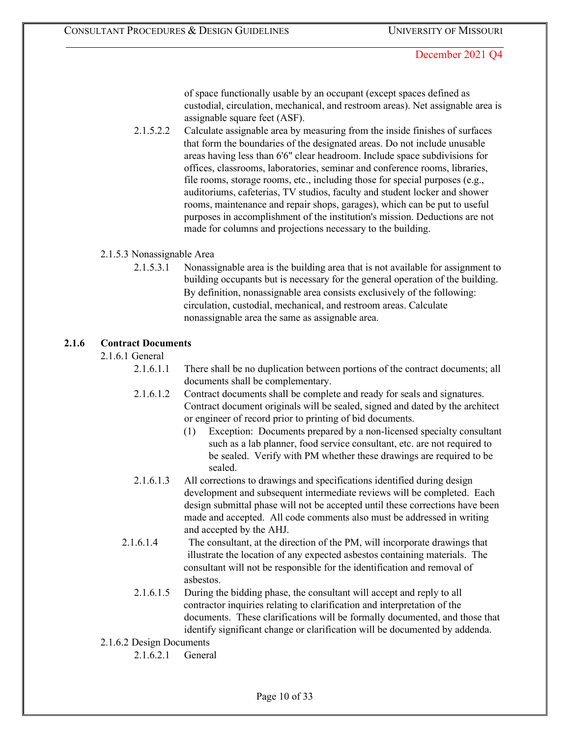of space functionally usable by an occupant (except spaces defined as custodial, circulation, mechanical, and restroom areas). Net assignable area is assignable square feet (ASF).

2.1.5.2.2 Calculate assignable area by measuring from the inside finishes of surfaces that form the boundaries of the designated areas. Do not include unusable areas having less than 6'6" clear headroom. Include space subdivisions for offices, classrooms, laboratories, seminar and conference rooms, libraries, file rooms, storage rooms, etc., including those for special purposes (e.g., auditoriums, cafeterias, TV studios, faculty and student locker and shower rooms, maintenance and repair shops, garages), which can be put to useful purposes in accomplishment of the institution's mission. Deductions are not made for columns and projections necessary to the building.

### 2.1.5.3 Nonassignable Area

2.1.5.3.1 Nonassignable area is the building area that is not available for assignment to building occupants but is necessary for the general operation of the building. By definition, nonassignable area consists exclusively of the following: circulation, custodial, mechanical, and restroom areas. Calculate nonassignable area the same as assignable area.

### **2.1.6 Contract Documents**

2.1.6.1 General

- 2.1.6.1.1 There shall be no duplication between portions of the contract documents; all documents shall be complementary.
- 2.1.6.1.2 Contract documents shall be complete and ready for seals and signatures. Contract document originals will be sealed, signed and dated by the architect or engineer of record prior to printing of bid documents.
	- (1) Exception: Documents prepared by a non-licensed specialty consultant such as a lab planner, food service consultant, etc. are not required to be sealed. Verify with PM whether these drawings are required to be sealed.
- 2.1.6.1.3 All corrections to drawings and specifications identified during design development and subsequent intermediate reviews will be completed. Each design submittal phase will not be accepted until these corrections have been made and accepted. All code comments also must be addressed in writing and accepted by the AHJ.
- 2.1.6.1.4 The consultant, at the direction of the PM, will incorporate drawings that illustrate the location of any expected asbestos containing materials. The consultant will not be responsible for the identification and removal of asbestos.
	- 2.1.6.1.5 During the bidding phase, the consultant will accept and reply to all contractor inquiries relating to clarification and interpretation of the documents. These clarifications will be formally documented, and those that identify significant change or clarification will be documented by addenda.
- 2.1.6.2 Design Documents
	- 2.1.6.2.1 General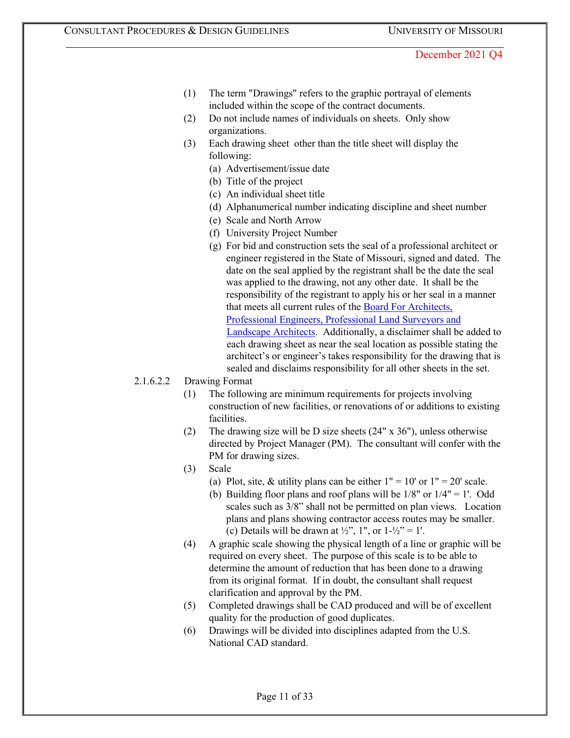- (1) The term "Drawings" refers to the graphic portrayal of elements included within the scope of the contract documents.
- (2) Do not include names of individuals on sheets. Only show organizations.
- (3) Each drawing sheet other than the title sheet will display the following:
	- (a) Advertisement/issue date
	- (b) Title of the project
	- (c) An individual sheet title
	- (d) Alphanumerical number indicating discipline and sheet number
	- (e) Scale and North Arrow
	- (f) University Project Number
	- (g) For bid and construction sets the seal of a professional architect or engineer registered in the State of Missouri, signed and dated. The date on the seal applied by the registrant shall be the date the seal was applied to the drawing, not any other date. It shall be the responsibility of the registrant to apply his or her seal in a manner that meets all current rules of the [Board For Architects,](http://pr.mo.gov/apelsla.asp) [Professional Engineers, Professional Land Surveyors and](http://pr.mo.gov/apelsla.asp) [Landscape Architects.](http://pr.mo.gov/apelsla.asp) Additionally, a disclaimer shall be added to each drawing sheet as near the seal location as possible stating the architect's or engineer's takes responsibility for the drawing that is sealed and disclaims responsibility for all other sheets in the set.
- 2.1.6.2.2 Drawing Format
	- (1) The following are minimum requirements for projects involving construction of new facilities, or renovations of or additions to existing facilities.
	- (2) The drawing size will be D size sheets (24" x 36"), unless otherwise directed by Project Manager (PM). The consultant will confer with the PM for drawing sizes.
	- (3) Scale
		- (a) Plot, site, & utility plans can be either  $1" = 10'$  or  $1" = 20'$  scale.
		- (b) Building floor plans and roof plans will be  $1/8$ " or  $1/4$ " = 1'. Odd scales such as 3/8" shall not be permitted on plan views. Location plans and plans showing contractor access routes may be smaller. (c) Details will be drawn at  $\frac{1}{2}$ , 1", or  $1-\frac{1}{2}$ " = 1'.
	- (4) A graphic scale showing the physical length of a line or graphic will be required on every sheet. The purpose of this scale is to be able to determine the amount of reduction that has been done to a drawing from its original format. If in doubt, the consultant shall request clarification and approval by the PM.
	- (5) Completed drawings shall be CAD produced and will be of excellent quality for the production of good duplicates.
	- (6) Drawings will be divided into disciplines adapted from the U.S. National CAD standard.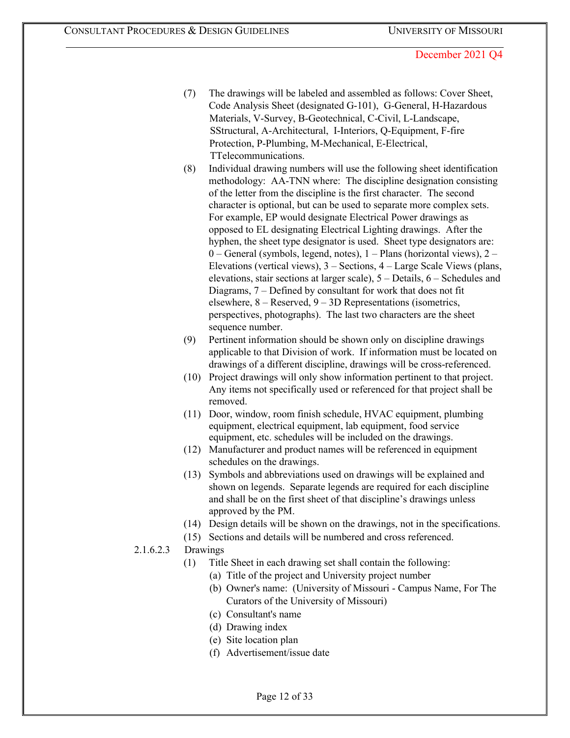- (7) The drawings will be labeled and assembled as follows: Cover Sheet, Code Analysis Sheet (designated G-101), G-General, H-Hazardous Materials, V-Survey, B-Geotechnical, C-Civil, L-Landscape, SStructural, A-Architectural, I-Interiors, Q-Equipment, F-fire Protection, P-Plumbing, M-Mechanical, E-Electrical, TTelecommunications.
- (8) Individual drawing numbers will use the following sheet identification methodology: AA-TNN where: The discipline designation consisting of the letter from the discipline is the first character. The second character is optional, but can be used to separate more complex sets. For example, EP would designate Electrical Power drawings as opposed to EL designating Electrical Lighting drawings. After the hyphen, the sheet type designator is used. Sheet type designators are: 0 – General (symbols, legend, notes), 1 – Plans (horizontal views), 2 – Elevations (vertical views), 3 – Sections, 4 – Large Scale Views (plans, elevations, stair sections at larger scale), 5 – Details, 6 – Schedules and Diagrams, 7 – Defined by consultant for work that does not fit elsewhere, 8 – Reserved, 9 – 3D Representations (isometrics, perspectives, photographs). The last two characters are the sheet sequence number.
- (9) Pertinent information should be shown only on discipline drawings applicable to that Division of work. If information must be located on drawings of a different discipline, drawings will be cross-referenced.
- (10) Project drawings will only show information pertinent to that project. Any items not specifically used or referenced for that project shall be removed.
- (11) Door, window, room finish schedule, HVAC equipment, plumbing equipment, electrical equipment, lab equipment, food service equipment, etc. schedules will be included on the drawings.
- (12) Manufacturer and product names will be referenced in equipment schedules on the drawings.
- (13) Symbols and abbreviations used on drawings will be explained and shown on legends. Separate legends are required for each discipline and shall be on the first sheet of that discipline's drawings unless approved by the PM.
- (14) Design details will be shown on the drawings, not in the specifications.
- (15) Sections and details will be numbered and cross referenced.

### 2.1.6.2.3 Drawings

- (1) Title Sheet in each drawing set shall contain the following:
	- (a) Title of the project and University project number
	- (b) Owner's name: (University of Missouri Campus Name, For The Curators of the University of Missouri)
	- (c) Consultant's name
	- (d) Drawing index
	- (e) Site location plan
	- (f) Advertisement/issue date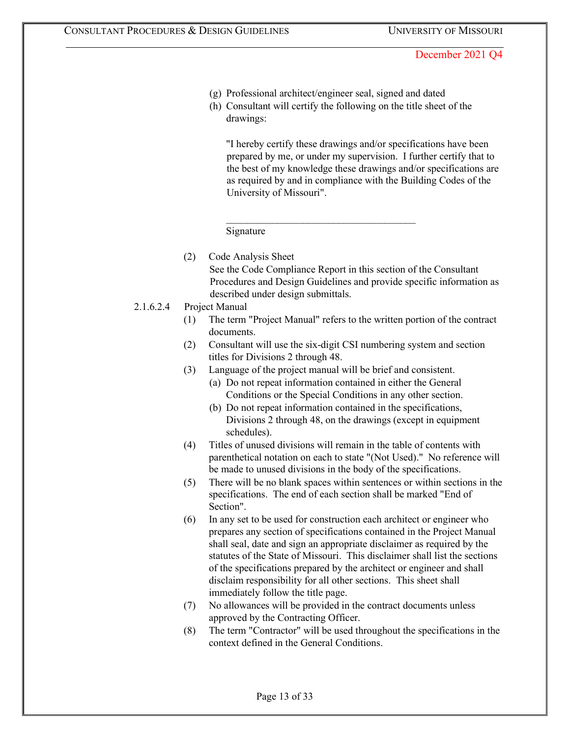(g) Professional architect/engineer seal, signed and dated

 $\mathcal{L}_\text{max}$  , where  $\mathcal{L}_\text{max}$  and  $\mathcal{L}_\text{max}$  and  $\mathcal{L}_\text{max}$ 

(h) Consultant will certify the following on the title sheet of the drawings:

"I hereby certify these drawings and/or specifications have been prepared by me, or under my supervision. I further certify that to the best of my knowledge these drawings and/or specifications are as required by and in compliance with the Building Codes of the University of Missouri".

#### Signature

(2) Code Analysis Sheet See the Code Compliance Report in this section of the Consultant Procedures and Design Guidelines and provide specific information as described under design submittals.

#### 2.1.6.2.4 Project Manual

- (1) The term "Project Manual" refers to the written portion of the contract documents.
- (2) Consultant will use the six-digit CSI numbering system and section titles for Divisions 2 through 48.
- (3) Language of the project manual will be brief and consistent.
	- (a) Do not repeat information contained in either the General Conditions or the Special Conditions in any other section.
	- (b) Do not repeat information contained in the specifications, Divisions 2 through 48, on the drawings (except in equipment schedules).
- (4) Titles of unused divisions will remain in the table of contents with parenthetical notation on each to state "(Not Used)." No reference will be made to unused divisions in the body of the specifications.
- (5) There will be no blank spaces within sentences or within sections in the specifications. The end of each section shall be marked "End of Section".
- (6) In any set to be used for construction each architect or engineer who prepares any section of specifications contained in the Project Manual shall seal, date and sign an appropriate disclaimer as required by the statutes of the State of Missouri. This disclaimer shall list the sections of the specifications prepared by the architect or engineer and shall disclaim responsibility for all other sections. This sheet shall immediately follow the title page.
- (7) No allowances will be provided in the contract documents unless approved by the Contracting Officer.
- (8) The term "Contractor" will be used throughout the specifications in the context defined in the General Conditions.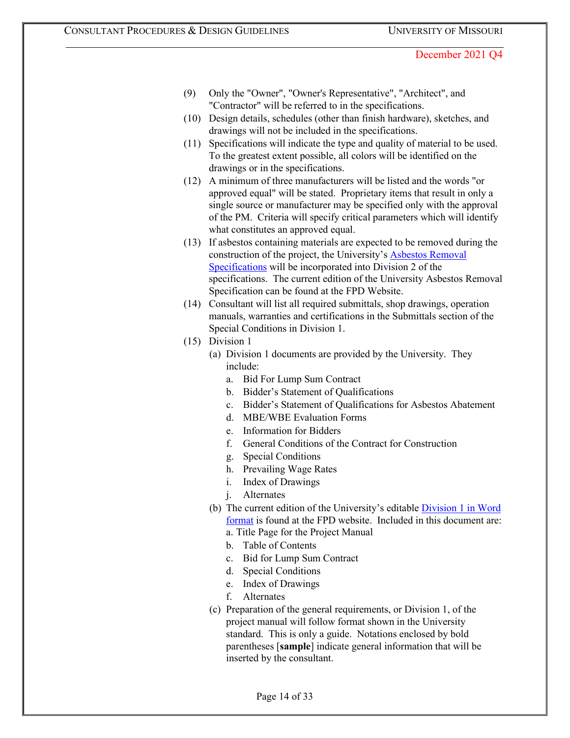- (9) Only the "Owner", "Owner's Representative", "Architect", and "Contractor" will be referred to in the specifications.
- (10) Design details, schedules (other than finish hardware), sketches, and drawings will not be included in the specifications.
- (11) Specifications will indicate the type and quality of material to be used. To the greatest extent possible, all colors will be identified on the drawings or in the specifications.
- (12) A minimum of three manufacturers will be listed and the words "or approved equal" will be stated. Proprietary items that result in only a single source or manufacturer may be specified only with the approval of the PM. Criteria will specify critical parameters which will identify what constitutes an approved equal.
- (13) If asbestos containing materials are expected to be removed during the construction of the project, the University's **Asbestos Removal** [Specifications](https://collaborate.umsystem.edu/sites/fpd/public/docs/Asbestos%20Spec.docx?d=wff6c124f808a425ba3fbf813ea71f4ea) will be incorporated into Division 2 of the specifications. The current edition of the University Asbestos Removal Specification can be found at the FPD Website.
- (14) Consultant will list all required submittals, shop drawings, operation manuals, warranties and certifications in the Submittals section of the Special Conditions in Division 1.
- (15) Division 1
	- (a) Division 1 documents are provided by the University. They include:
		- a. Bid For Lump Sum Contract
		- b. Bidder's Statement of Qualifications
		- c. Bidder's Statement of Qualifications for Asbestos Abatement
		- d. MBE/WBE Evaluation Forms
		- e. Information for Bidders
		- f. General Conditions of the Contract for Construction
		- g. Special Conditions
		- h. Prevailing Wage Rates
		- i. Index of Drawings
		- j. Alternates
	- (b) The current edition of the University's editable [Division 1 in Word](https://collaborate.umsystem.edu/sites/fpd/public/docs/Div%201%20Bidding%20Documents.docx?d=wb98602c26410440ba565b1ef9b31e2e3) [format](https://collaborate.umsystem.edu/sites/fpd/public/docs/Div%201%20Bidding%20Documents.docx?d=wb98602c26410440ba565b1ef9b31e2e3) is found at the FPD website. Included in this document are: a. Title Page for the Project Manual
		- b. Table of Contents
		- c. Bid for Lump Sum Contract
		- d. Special Conditions
		- e. Index of Drawings
		- f. Alternates
	- (c) Preparation of the general requirements, or Division 1, of the project manual will follow format shown in the University standard. This is only a guide. Notations enclosed by bold parentheses [**sample**] indicate general information that will be inserted by the consultant.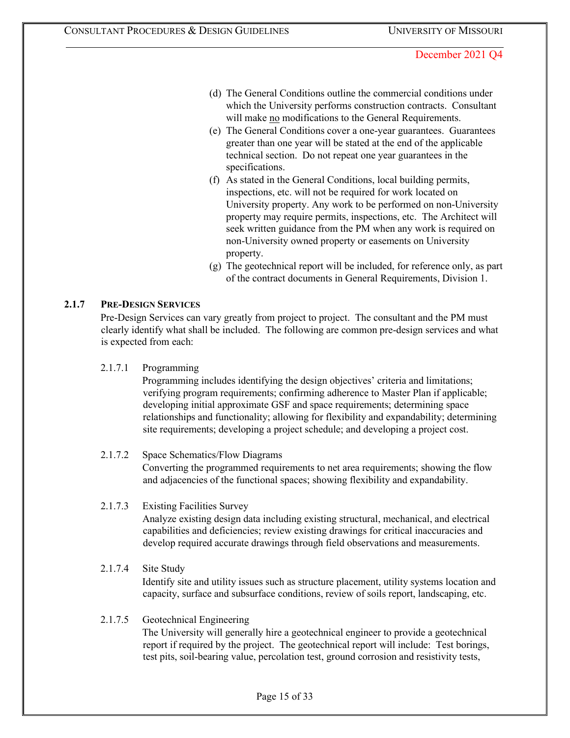- (d) The General Conditions outline the commercial conditions under which the University performs construction contracts. Consultant will make no modifications to the General Requirements.
- (e) The General Conditions cover a one-year guarantees. Guarantees greater than one year will be stated at the end of the applicable technical section. Do not repeat one year guarantees in the specifications.
- (f) As stated in the General Conditions, local building permits, inspections, etc. will not be required for work located on University property. Any work to be performed on non-University property may require permits, inspections, etc. The Architect will seek written guidance from the PM when any work is required on non-University owned property or easements on University property.
- (g) The geotechnical report will be included, for reference only, as part of the contract documents in General Requirements, Division 1.

### **2.1.7 PRE-DESIGN SERVICES**

Pre-Design Services can vary greatly from project to project. The consultant and the PM must clearly identify what shall be included. The following are common pre-design services and what is expected from each:

#### 2.1.7.1 Programming

Programming includes identifying the design objectives' criteria and limitations; verifying program requirements; confirming adherence to Master Plan if applicable; developing initial approximate GSF and space requirements; determining space relationships and functionality; allowing for flexibility and expandability; determining site requirements; developing a project schedule; and developing a project cost.

### 2.1.7.2 Space Schematics/Flow Diagrams

Converting the programmed requirements to net area requirements; showing the flow and adjacencies of the functional spaces; showing flexibility and expandability.

### 2.1.7.3 Existing Facilities Survey

Analyze existing design data including existing structural, mechanical, and electrical capabilities and deficiencies; review existing drawings for critical inaccuracies and develop required accurate drawings through field observations and measurements.

# 2.1.7.4 Site Study Identify site and utility issues such as structure placement, utility systems location and capacity, surface and subsurface conditions, review of soils report, landscaping, etc.

### 2.1.7.5 Geotechnical Engineering

The University will generally hire a geotechnical engineer to provide a geotechnical report if required by the project. The geotechnical report will include: Test borings, test pits, soil-bearing value, percolation test, ground corrosion and resistivity tests,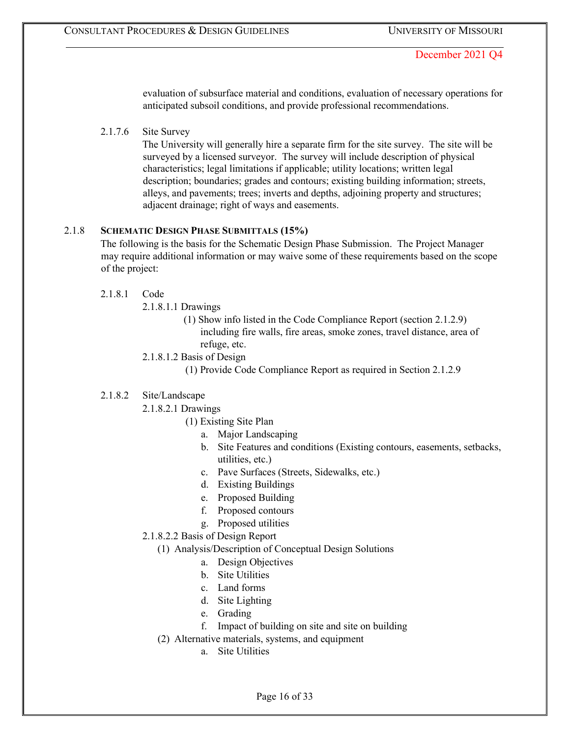evaluation of subsurface material and conditions, evaluation of necessary operations for anticipated subsoil conditions, and provide professional recommendations.

### 2.1.7.6 Site Survey

The University will generally hire a separate firm for the site survey. The site will be surveyed by a licensed surveyor. The survey will include description of physical characteristics; legal limitations if applicable; utility locations; written legal description; boundaries; grades and contours; existing building information; streets, alleys, and pavements; trees; inverts and depths, adjoining property and structures; adjacent drainage; right of ways and easements.

### 2.1.8 **SCHEMATIC DESIGN PHASE SUBMITTALS (15%)**

The following is the basis for the Schematic Design Phase Submission. The Project Manager may require additional information or may waive some of these requirements based on the scope of the project:

### 2.1.8.1 Code

- 2.1.8.1.1 Drawings
	- (1) Show info listed in the Code Compliance Report (section 2.1.2.9) including fire walls, fire areas, smoke zones, travel distance, area of refuge, etc.
- 2.1.8.1.2 Basis of Design
	- (1) Provide Code Compliance Report as required in Section 2.1.2.9

### 2.1.8.2 Site/Landscape

- 2.1.8.2.1 Drawings
	- (1) Existing Site Plan
		- a. Major Landscaping
		- b. Site Features and conditions (Existing contours, easements, setbacks, utilities, etc.)
		- c. Pave Surfaces (Streets, Sidewalks, etc.)
		- d. Existing Buildings
		- e. Proposed Building
		- f. Proposed contours
		- g. Proposed utilities
- 2.1.8.2.2 Basis of Design Report
	- (1) Analysis/Description of Conceptual Design Solutions
		- a. Design Objectives
		- b. Site Utilities
		- c. Land forms
		- d. Site Lighting
		- e. Grading
		- f. Impact of building on site and site on building
	- (2) Alternative materials, systems, and equipment
		- a. Site Utilities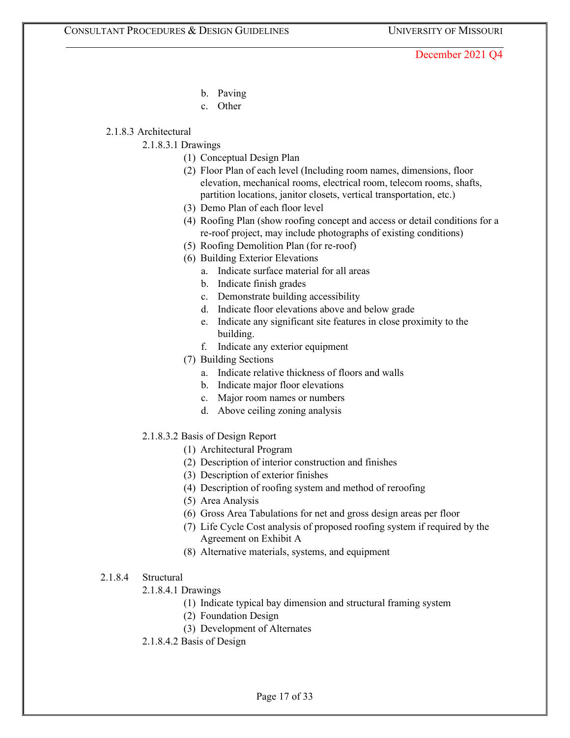- b. Paving
- c. Other

### 2.1.8.3 Architectural

### 2.1.8.3.1 Drawings

- (1) Conceptual Design Plan
- (2) Floor Plan of each level (Including room names, dimensions, floor elevation, mechanical rooms, electrical room, telecom rooms, shafts, partition locations, janitor closets, vertical transportation, etc.)
- (3) Demo Plan of each floor level
- (4) Roofing Plan (show roofing concept and access or detail conditions for a re-roof project, may include photographs of existing conditions)
- (5) Roofing Demolition Plan (for re-roof)
- (6) Building Exterior Elevations
	- a. Indicate surface material for all areas
	- b. Indicate finish grades
	- c. Demonstrate building accessibility
	- d. Indicate floor elevations above and below grade
	- e. Indicate any significant site features in close proximity to the building.
	- f. Indicate any exterior equipment
- (7) Building Sections
	- a. Indicate relative thickness of floors and walls
	- b. Indicate major floor elevations
	- c. Major room names or numbers
	- d. Above ceiling zoning analysis
- 2.1.8.3.2 Basis of Design Report
	- (1) Architectural Program
	- (2) Description of interior construction and finishes
	- (3) Description of exterior finishes
	- (4) Description of roofing system and method of reroofing
	- (5) Area Analysis
	- (6) Gross Area Tabulations for net and gross design areas per floor
	- (7) Life Cycle Cost analysis of proposed roofing system if required by the Agreement on Exhibit A
	- (8) Alternative materials, systems, and equipment

### 2.1.8.4 Structural

- 2.1.8.4.1 Drawings
	- (1) Indicate typical bay dimension and structural framing system
	- (2) Foundation Design
	- (3) Development of Alternates
- 2.1.8.4.2 Basis of Design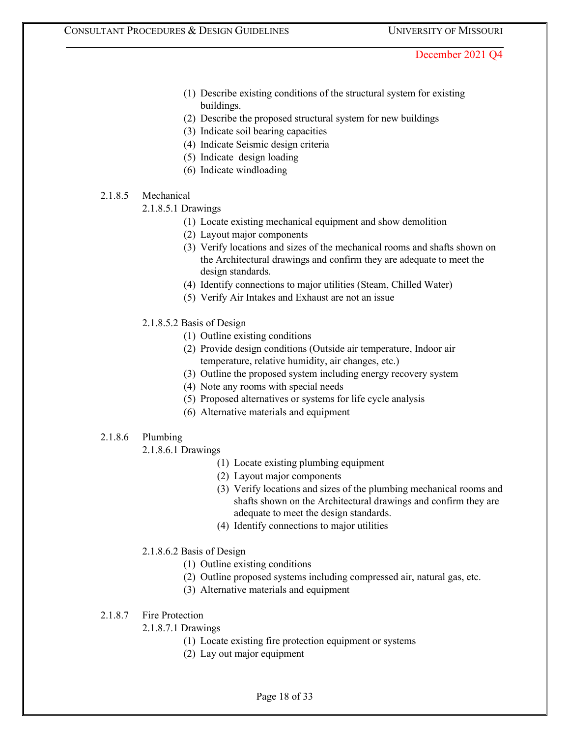- (1) Describe existing conditions of the structural system for existing buildings.
- (2) Describe the proposed structural system for new buildings
- (3) Indicate soil bearing capacities
- (4) Indicate Seismic design criteria
- (5) Indicate design loading
- (6) Indicate windloading

### 2.1.8.5 Mechanical

- 2.1.8.5.1 Drawings
	- (1) Locate existing mechanical equipment and show demolition
	- (2) Layout major components
	- (3) Verify locations and sizes of the mechanical rooms and shafts shown on the Architectural drawings and confirm they are adequate to meet the design standards.
	- (4) Identify connections to major utilities (Steam, Chilled Water)
	- (5) Verify Air Intakes and Exhaust are not an issue
- 2.1.8.5.2 Basis of Design
	- (1) Outline existing conditions
	- (2) Provide design conditions (Outside air temperature, Indoor air temperature, relative humidity, air changes, etc.)
	- (3) Outline the proposed system including energy recovery system
	- (4) Note any rooms with special needs
	- (5) Proposed alternatives or systems for life cycle analysis
	- (6) Alternative materials and equipment

### 2.1.8.6 Plumbing

2.1.8.6.1 Drawings

- (1) Locate existing plumbing equipment
- (2) Layout major components
- (3) Verify locations and sizes of the plumbing mechanical rooms and shafts shown on the Architectural drawings and confirm they are adequate to meet the design standards.
- (4) Identify connections to major utilities

# 2.1.8.6.2 Basis of Design

- (1) Outline existing conditions
- (2) Outline proposed systems including compressed air, natural gas, etc.
- (3) Alternative materials and equipment
- 2.1.8.7 Fire Protection
	- 2.1.8.7.1 Drawings
		- (1) Locate existing fire protection equipment or systems
		- (2) Lay out major equipment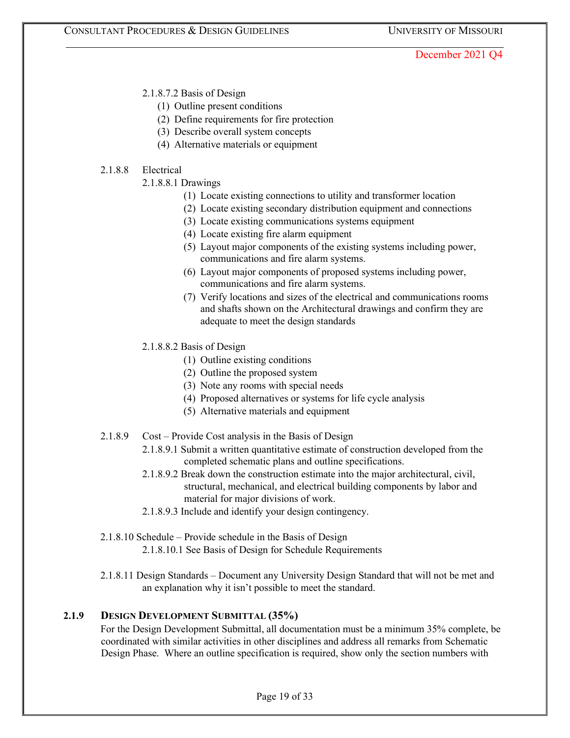2.1.8.7.2 Basis of Design

- (1) Outline present conditions
- (2) Define requirements for fire protection
- (3) Describe overall system concepts
- (4) Alternative materials or equipment

### 2.1.8.8 Electrical

- 2.1.8.8.1 Drawings
	- (1) Locate existing connections to utility and transformer location
	- (2) Locate existing secondary distribution equipment and connections
	- (3) Locate existing communications systems equipment
	- (4) Locate existing fire alarm equipment
	- (5) Layout major components of the existing systems including power, communications and fire alarm systems.
	- (6) Layout major components of proposed systems including power, communications and fire alarm systems.
	- (7) Verify locations and sizes of the electrical and communications rooms and shafts shown on the Architectural drawings and confirm they are adequate to meet the design standards
- 2.1.8.8.2 Basis of Design
	- (1) Outline existing conditions
	- (2) Outline the proposed system
	- (3) Note any rooms with special needs
	- (4) Proposed alternatives or systems for life cycle analysis
	- (5) Alternative materials and equipment
- 2.1.8.9 Cost Provide Cost analysis in the Basis of Design
	- 2.1.8.9.1 Submit a written quantitative estimate of construction developed from the completed schematic plans and outline specifications.
	- 2.1.8.9.2 Break down the construction estimate into the major architectural, civil, structural, mechanical, and electrical building components by labor and material for major divisions of work.
	- 2.1.8.9.3 Include and identify your design contingency.
- 2.1.8.10 Schedule Provide schedule in the Basis of Design 2.1.8.10.1 See Basis of Design for Schedule Requirements
- 2.1.8.11 Design Standards Document any University Design Standard that will not be met and an explanation why it isn't possible to meet the standard.

# **2.1.9 DESIGN DEVELOPMENT SUBMITTAL (35%)**

For the Design Development Submittal, all documentation must be a minimum 35% complete, be coordinated with similar activities in other disciplines and address all remarks from Schematic Design Phase. Where an outline specification is required, show only the section numbers with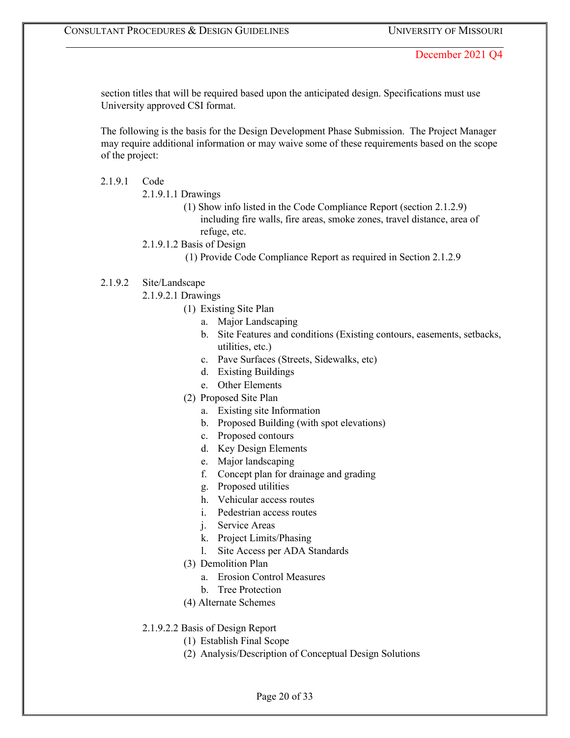section titles that will be required based upon the anticipated design. Specifications must use University approved CSI format.

The following is the basis for the Design Development Phase Submission. The Project Manager may require additional information or may waive some of these requirements based on the scope of the project:

#### 2.1.9.1 Code

- 2.1.9.1.1 Drawings
	- (1) Show info listed in the Code Compliance Report (section 2.1.2.9) including fire walls, fire areas, smoke zones, travel distance, area of refuge, etc.
- 2.1.9.1.2 Basis of Design
	- (1) Provide Code Compliance Report as required in Section 2.1.2.9

#### 2.1.9.2 Site/Landscape

- 2.1.9.2.1 Drawings
	- (1) Existing Site Plan
		- a. Major Landscaping
		- b. Site Features and conditions (Existing contours, easements, setbacks, utilities, etc.)
		- c. Pave Surfaces (Streets, Sidewalks, etc)
		- d. Existing Buildings
		- e. Other Elements
	- (2) Proposed Site Plan
		- a. Existing site Information
		- b. Proposed Building (with spot elevations)
		- c. Proposed contours
		- d. Key Design Elements
		- e. Major landscaping
		- f. Concept plan for drainage and grading
		- g. Proposed utilities
		- h. Vehicular access routes
		- i. Pedestrian access routes
		- j. Service Areas
		- k. Project Limits/Phasing
		- l. Site Access per ADA Standards
	- (3) Demolition Plan
		- a. Erosion Control Measures
		- b. Tree Protection
	- (4) Alternate Schemes
- 2.1.9.2.2 Basis of Design Report
	- (1) Establish Final Scope
	- (2) Analysis/Description of Conceptual Design Solutions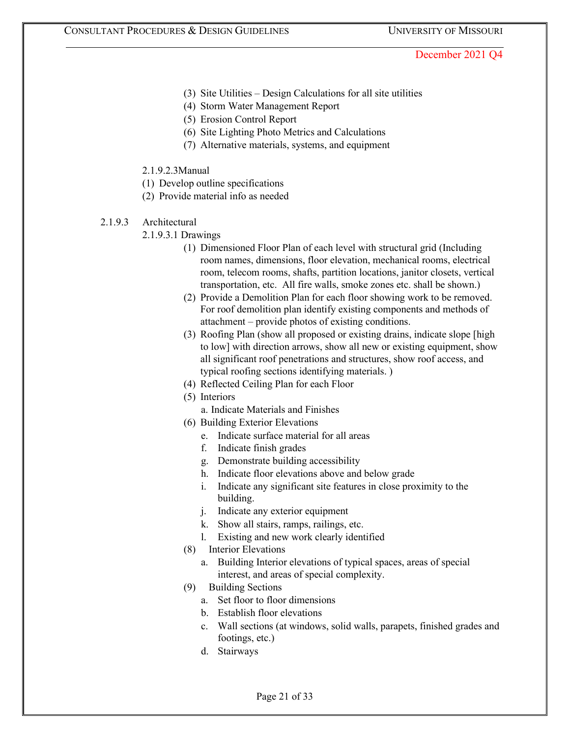- (3) Site Utilities Design Calculations for all site utilities
- (4) Storm Water Management Report
- (5) Erosion Control Report
- (6) Site Lighting Photo Metrics and Calculations
- (7) Alternative materials, systems, and equipment
- 2.1.9.2.3Manual
- (1) Develop outline specifications
- (2) Provide material info as needed
- 2.1.9.3 Architectural
	- 2.1.9.3.1 Drawings
		- (1) Dimensioned Floor Plan of each level with structural grid (Including room names, dimensions, floor elevation, mechanical rooms, electrical room, telecom rooms, shafts, partition locations, janitor closets, vertical transportation, etc. All fire walls, smoke zones etc. shall be shown.)
		- (2) Provide a Demolition Plan for each floor showing work to be removed. For roof demolition plan identify existing components and methods of attachment – provide photos of existing conditions.
		- (3) Roofing Plan (show all proposed or existing drains, indicate slope [high to low] with direction arrows, show all new or existing equipment, show all significant roof penetrations and structures, show roof access, and typical roofing sections identifying materials. )
		- (4) Reflected Ceiling Plan for each Floor
		- (5) Interiors
			- a. Indicate Materials and Finishes
		- (6) Building Exterior Elevations
			- e. Indicate surface material for all areas
			- f. Indicate finish grades
			- g. Demonstrate building accessibility
			- h. Indicate floor elevations above and below grade
			- i. Indicate any significant site features in close proximity to the building.
			- j. Indicate any exterior equipment
			- k. Show all stairs, ramps, railings, etc.
			- l. Existing and new work clearly identified
		- (8) Interior Elevations
			- a. Building Interior elevations of typical spaces, areas of special interest, and areas of special complexity.
		- (9) Building Sections
			- a. Set floor to floor dimensions
			- b. Establish floor elevations
			- c. Wall sections (at windows, solid walls, parapets, finished grades and footings, etc.)
			- d. Stairways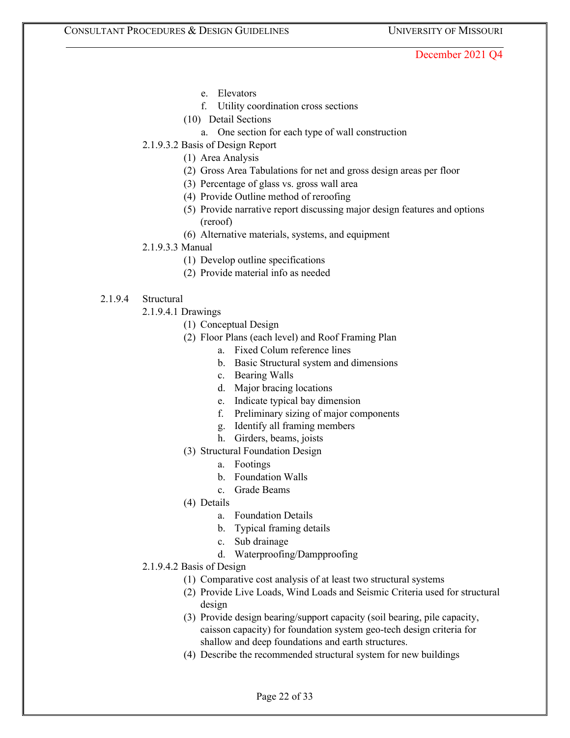- e. Elevators
- f. Utility coordination cross sections
- (10) Detail Sections
	- a. One section for each type of wall construction
- 2.1.9.3.2 Basis of Design Report
	- (1) Area Analysis
	- (2) Gross Area Tabulations for net and gross design areas per floor
	- (3) Percentage of glass vs. gross wall area
	- (4) Provide Outline method of reroofing
	- (5) Provide narrative report discussing major design features and options (reroof)
	- (6) Alternative materials, systems, and equipment
- 2.1.9.3.3 Manual
	- (1) Develop outline specifications
	- (2) Provide material info as needed
- 2.1.9.4 Structural
	- 2.1.9.4.1 Drawings
		- (1) Conceptual Design
		- (2) Floor Plans (each level) and Roof Framing Plan
			- a. Fixed Colum reference lines
			- b. Basic Structural system and dimensions
			- c. Bearing Walls
			- d. Major bracing locations
			- e. Indicate typical bay dimension
			- f. Preliminary sizing of major components
			- g. Identify all framing members
			- h. Girders, beams, joists
		- (3) Structural Foundation Design
			- a. Footings
			- b. Foundation Walls
			- c. Grade Beams
		- (4) Details
			- a. Foundation Details
			- b. Typical framing details
			- c. Sub drainage
			- d. Waterproofing/Dampproofing
	- 2.1.9.4.2 Basis of Design
		- (1) Comparative cost analysis of at least two structural systems
		- (2) Provide Live Loads, Wind Loads and Seismic Criteria used for structural design
		- (3) Provide design bearing/support capacity (soil bearing, pile capacity, caisson capacity) for foundation system geo-tech design criteria for shallow and deep foundations and earth structures.
		- (4) Describe the recommended structural system for new buildings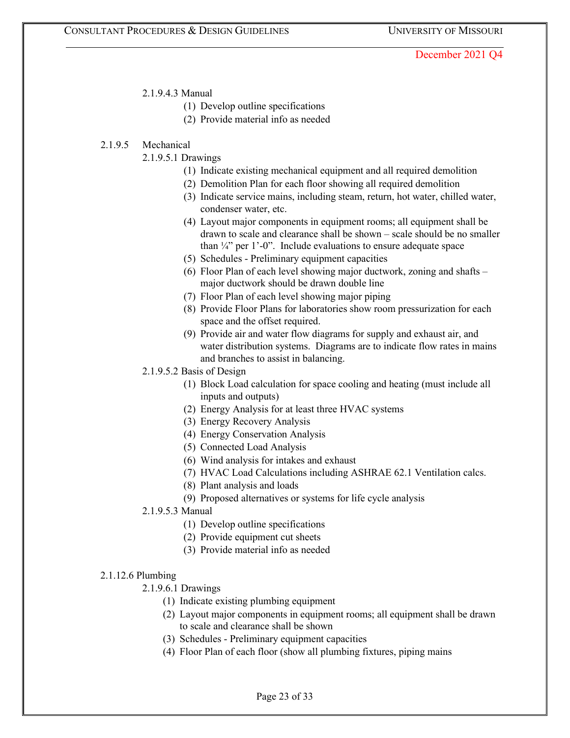#### 2.1.9.4.3 Manual

- (1) Develop outline specifications
- (2) Provide material info as needed

### 2.1.9.5 Mechanical

- 2.1.9.5.1 Drawings
	- (1) Indicate existing mechanical equipment and all required demolition
	- (2) Demolition Plan for each floor showing all required demolition
	- (3) Indicate service mains, including steam, return, hot water, chilled water, condenser water, etc.
	- (4) Layout major components in equipment rooms; all equipment shall be drawn to scale and clearance shall be shown – scale should be no smaller than  $\frac{1}{4}$ " per 1'-0". Include evaluations to ensure adequate space
	- (5) Schedules Preliminary equipment capacities
	- (6) Floor Plan of each level showing major ductwork, zoning and shafts major ductwork should be drawn double line
	- (7) Floor Plan of each level showing major piping
	- (8) Provide Floor Plans for laboratories show room pressurization for each space and the offset required.
	- (9) Provide air and water flow diagrams for supply and exhaust air, and water distribution systems. Diagrams are to indicate flow rates in mains and branches to assist in balancing.
- 2.1.9.5.2 Basis of Design
	- (1) Block Load calculation for space cooling and heating (must include all inputs and outputs)
	- (2) Energy Analysis for at least three HVAC systems
	- (3) Energy Recovery Analysis
	- (4) Energy Conservation Analysis
	- (5) Connected Load Analysis
	- (6) Wind analysis for intakes and exhaust
	- (7) HVAC Load Calculations including ASHRAE 62.1 Ventilation calcs.
	- (8) Plant analysis and loads
	- (9) Proposed alternatives or systems for life cycle analysis
- 2.1.9.5.3 Manual
	- (1) Develop outline specifications
	- (2) Provide equipment cut sheets
	- (3) Provide material info as needed

#### 2.1.12.6 Plumbing

- 2.1.9.6.1 Drawings
	- (1) Indicate existing plumbing equipment
	- (2) Layout major components in equipment rooms; all equipment shall be drawn to scale and clearance shall be shown
	- (3) Schedules Preliminary equipment capacities
	- (4) Floor Plan of each floor (show all plumbing fixtures, piping mains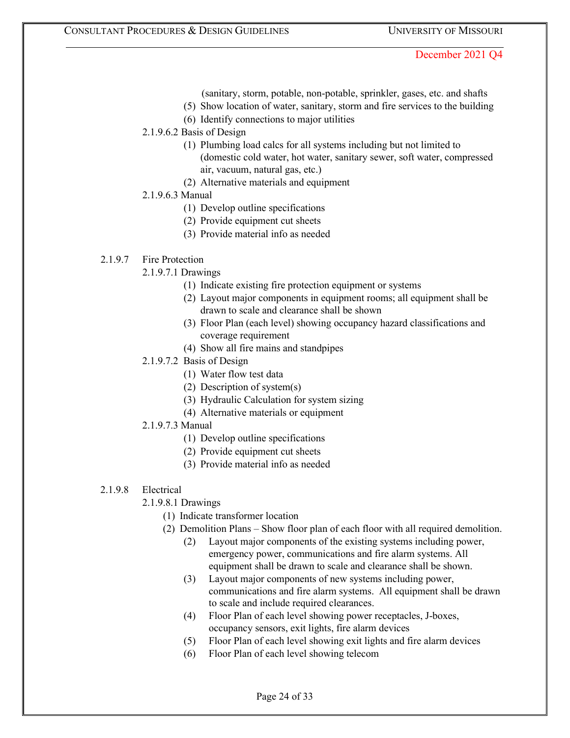- (sanitary, storm, potable, non-potable, sprinkler, gases, etc. and shafts
- (5) Show location of water, sanitary, storm and fire services to the building
- (6) Identify connections to major utilities
- 2.1.9.6.2 Basis of Design
	- (1) Plumbing load calcs for all systems including but not limited to (domestic cold water, hot water, sanitary sewer, soft water, compressed air, vacuum, natural gas, etc.)
	- (2) Alternative materials and equipment
- 2.1.9.6.3 Manual
	- (1) Develop outline specifications
	- (2) Provide equipment cut sheets
	- (3) Provide material info as needed

# 2.1.9.7 Fire Protection

- 2.1.9.7.1 Drawings
	- (1) Indicate existing fire protection equipment or systems
	- (2) Layout major components in equipment rooms; all equipment shall be drawn to scale and clearance shall be shown
	- (3) Floor Plan (each level) showing occupancy hazard classifications and coverage requirement
	- (4) Show all fire mains and standpipes
- 2.1.9.7.2 Basis of Design
	- (1) Water flow test data
	- (2) Description of system(s)
	- (3) Hydraulic Calculation for system sizing
	- (4) Alternative materials or equipment
- 2.1.9.7.3 Manual
	- (1) Develop outline specifications
	- (2) Provide equipment cut sheets
	- (3) Provide material info as needed
- 2.1.9.8 Electrical
	- 2.1.9.8.1 Drawings
		- (1) Indicate transformer location
		- (2) Demolition Plans Show floor plan of each floor with all required demolition.
			- (2) Layout major components of the existing systems including power, emergency power, communications and fire alarm systems. All equipment shall be drawn to scale and clearance shall be shown.
			- (3) Layout major components of new systems including power, communications and fire alarm systems. All equipment shall be drawn to scale and include required clearances.
			- (4) Floor Plan of each level showing power receptacles, J-boxes, occupancy sensors, exit lights, fire alarm devices
			- (5) Floor Plan of each level showing exit lights and fire alarm devices
			- (6) Floor Plan of each level showing telecom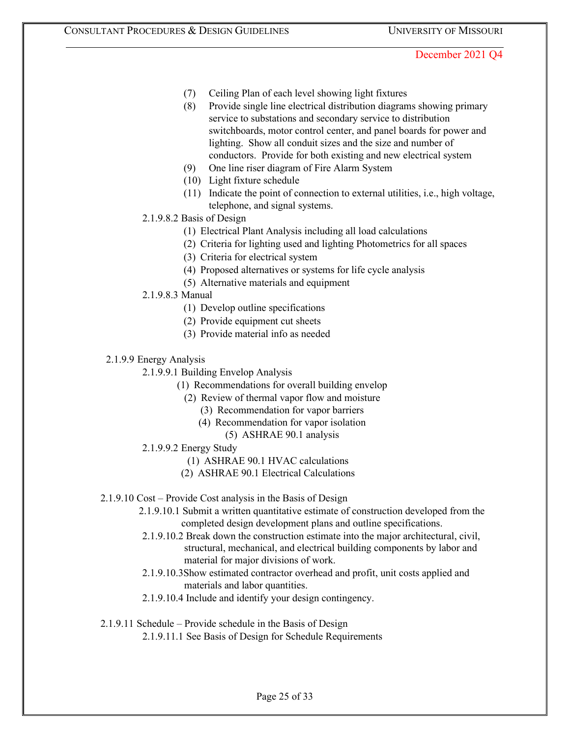- (7) Ceiling Plan of each level showing light fixtures
- (8) Provide single line electrical distribution diagrams showing primary service to substations and secondary service to distribution switchboards, motor control center, and panel boards for power and lighting. Show all conduit sizes and the size and number of conductors. Provide for both existing and new electrical system
- (9) One line riser diagram of Fire Alarm System
- (10) Light fixture schedule
- (11) Indicate the point of connection to external utilities, i.e., high voltage, telephone, and signal systems.
- 2.1.9.8.2 Basis of Design
	- (1) Electrical Plant Analysis including all load calculations
	- (2) Criteria for lighting used and lighting Photometrics for all spaces
	- (3) Criteria for electrical system
	- (4) Proposed alternatives or systems for life cycle analysis
	- (5) Alternative materials and equipment
- 2.1.9.8.3 Manual
	- (1) Develop outline specifications
	- (2) Provide equipment cut sheets
	- (3) Provide material info as needed
- 2.1.9.9 Energy Analysis
	- 2.1.9.9.1 Building Envelop Analysis
		- (1) Recommendations for overall building envelop
			- (2) Review of thermal vapor flow and moisture
				- (3) Recommendation for vapor barriers
				- (4) Recommendation for vapor isolation
					- (5) ASHRAE 90.1 analysis
	- 2.1.9.9.2 Energy Study
		- (1) ASHRAE 90.1 HVAC calculations
		- (2) ASHRAE 90.1 Electrical Calculations
- 2.1.9.10 Cost Provide Cost analysis in the Basis of Design
	- 2.1.9.10.1 Submit a written quantitative estimate of construction developed from the completed design development plans and outline specifications.
	- 2.1.9.10.2 Break down the construction estimate into the major architectural, civil, structural, mechanical, and electrical building components by labor and material for major divisions of work.
	- 2.1.9.10.3Show estimated contractor overhead and profit, unit costs applied and materials and labor quantities.
	- 2.1.9.10.4 Include and identify your design contingency.

#### 2.1.9.11 Schedule – Provide schedule in the Basis of Design

2.1.9.11.1 See Basis of Design for Schedule Requirements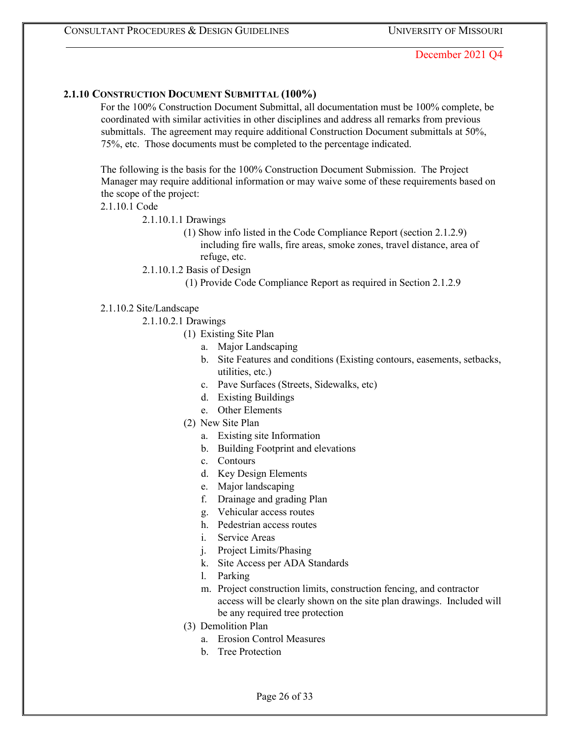### **2.1.10 CONSTRUCTION DOCUMENT SUBMITTAL (100%)**

For the 100% Construction Document Submittal, all documentation must be 100% complete, be coordinated with similar activities in other disciplines and address all remarks from previous submittals. The agreement may require additional Construction Document submittals at 50%, 75%, etc. Those documents must be completed to the percentage indicated.

The following is the basis for the 100% Construction Document Submission. The Project Manager may require additional information or may waive some of these requirements based on the scope of the project:

2.1.10.1 Code

2.1.10.1.1 Drawings

- (1) Show info listed in the Code Compliance Report (section 2.1.2.9) including fire walls, fire areas, smoke zones, travel distance, area of refuge, etc.
- 2.1.10.1.2 Basis of Design
	- (1) Provide Code Compliance Report as required in Section 2.1.2.9
- 2.1.10.2 Site/Landscape
	- 2.1.10.2.1 Drawings
		- (1) Existing Site Plan
			- a. Major Landscaping
			- b. Site Features and conditions (Existing contours, easements, setbacks, utilities, etc.)
			- c. Pave Surfaces (Streets, Sidewalks, etc)
			- d. Existing Buildings
			- e. Other Elements
		- (2) New Site Plan
			- a. Existing site Information
			- b. Building Footprint and elevations
			- c. Contours
			- d. Key Design Elements
			- e. Major landscaping
			- f. Drainage and grading Plan
			- g. Vehicular access routes
			- h. Pedestrian access routes
			- i. Service Areas
			- j. Project Limits/Phasing
			- k. Site Access per ADA Standards
			- l. Parking
			- m. Project construction limits, construction fencing, and contractor access will be clearly shown on the site plan drawings. Included will be any required tree protection
		- (3) Demolition Plan
			- a. Erosion Control Measures
			- b. Tree Protection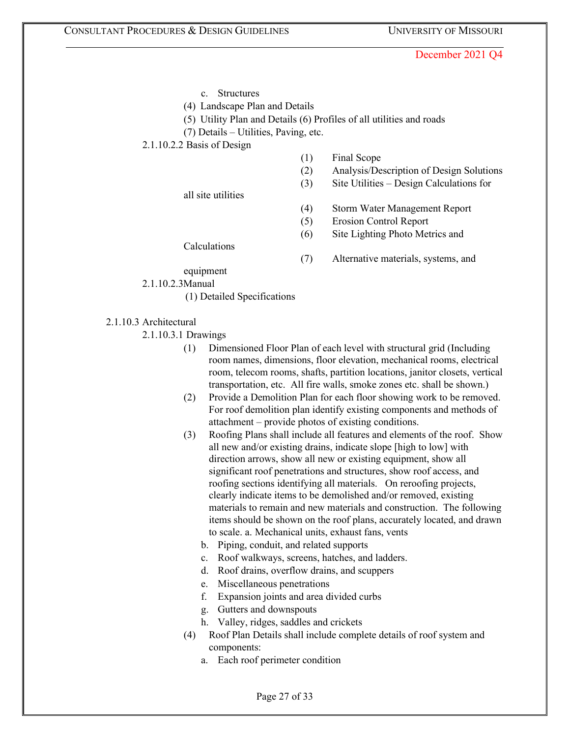- c. Structures
- (4) Landscape Plan and Details
- (5) Utility Plan and Details (6) Profiles of all utilities and roads
- (7) Details Utilities, Paving, etc.
- 2.1.10.2.2 Basis of Design
- (1) Final Scope
- (2) Analysis/Description of Design Solutions
- (3) Site Utilities Design Calculations for

all site utilities

- (4) Storm Water Management Report
- (5) Erosion Control Report
- (6) Site Lighting Photo Metrics and
- (7) Alternative materials, systems, and

equipment

Calculations

2.1.10.2.3Manual

- (1) Detailed Specifications
- 2.1.10.3 Architectural
	- 2.1.10.3.1 Drawings
		- (1) Dimensioned Floor Plan of each level with structural grid (Including room names, dimensions, floor elevation, mechanical rooms, electrical room, telecom rooms, shafts, partition locations, janitor closets, vertical transportation, etc. All fire walls, smoke zones etc. shall be shown.)
		- (2) Provide a Demolition Plan for each floor showing work to be removed. For roof demolition plan identify existing components and methods of attachment – provide photos of existing conditions.
		- (3) Roofing Plans shall include all features and elements of the roof. Show all new and/or existing drains, indicate slope [high to low] with direction arrows, show all new or existing equipment, show all significant roof penetrations and structures, show roof access, and roofing sections identifying all materials. On reroofing projects, clearly indicate items to be demolished and/or removed, existing materials to remain and new materials and construction. The following items should be shown on the roof plans, accurately located, and drawn to scale. a. Mechanical units, exhaust fans, vents
			- b. Piping, conduit, and related supports
			- c. Roof walkways, screens, hatches, and ladders.
			- d. Roof drains, overflow drains, and scuppers
			- e. Miscellaneous penetrations
			- f. Expansion joints and area divided curbs
			- g. Gutters and downspouts
			- h. Valley, ridges, saddles and crickets
		- (4) Roof Plan Details shall include complete details of roof system and components:
			- a. Each roof perimeter condition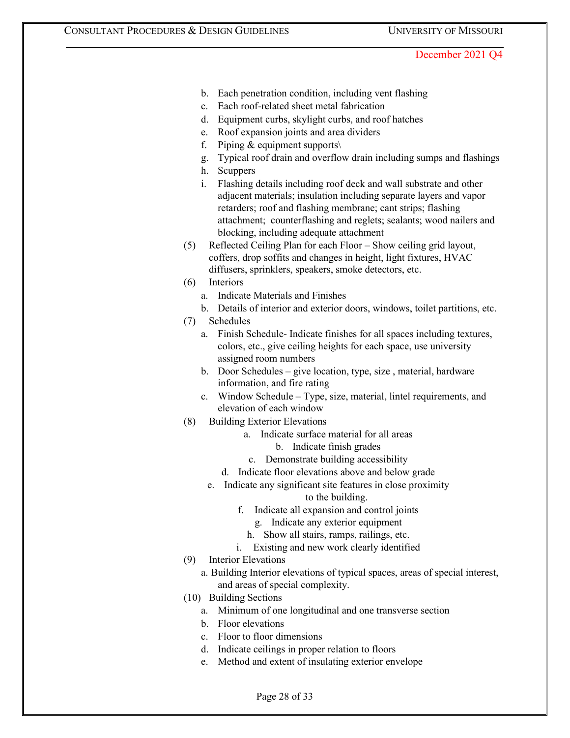- b. Each penetration condition, including vent flashing
- c. Each roof-related sheet metal fabrication
- d. Equipment curbs, skylight curbs, and roof hatches
- e. Roof expansion joints and area dividers
- f. Piping & equipment supports $\setminus$
- g. Typical roof drain and overflow drain including sumps and flashings
- h. Scuppers
- i. Flashing details including roof deck and wall substrate and other adjacent materials; insulation including separate layers and vapor retarders; roof and flashing membrane; cant strips; flashing attachment; counterflashing and reglets; sealants; wood nailers and blocking, including adequate attachment
- (5) Reflected Ceiling Plan for each Floor Show ceiling grid layout, coffers, drop soffits and changes in height, light fixtures, HVAC diffusers, sprinklers, speakers, smoke detectors, etc.
- (6) Interiors
	- a. Indicate Materials and Finishes
	- b. Details of interior and exterior doors, windows, toilet partitions, etc.
- (7) Schedules
	- a. Finish Schedule- Indicate finishes for all spaces including textures, colors, etc., give ceiling heights for each space, use university assigned room numbers
	- b. Door Schedules give location, type, size , material, hardware information, and fire rating
	- c. Window Schedule Type, size, material, lintel requirements, and elevation of each window
- (8) Building Exterior Elevations
	- a. Indicate surface material for all areas
		- b. Indicate finish grades
	- c. Demonstrate building accessibility
	- d. Indicate floor elevations above and below grade
	- e. Indicate any significant site features in close proximity
		- to the building.
		- f. Indicate all expansion and control joints
			- g. Indicate any exterior equipment
			- h. Show all stairs, ramps, railings, etc.
		- i. Existing and new work clearly identified
- (9) Interior Elevations
	- a. Building Interior elevations of typical spaces, areas of special interest, and areas of special complexity.
- (10) Building Sections
	- a. Minimum of one longitudinal and one transverse section
	- b. Floor elevations
	- c. Floor to floor dimensions
	- d. Indicate ceilings in proper relation to floors
	- e. Method and extent of insulating exterior envelope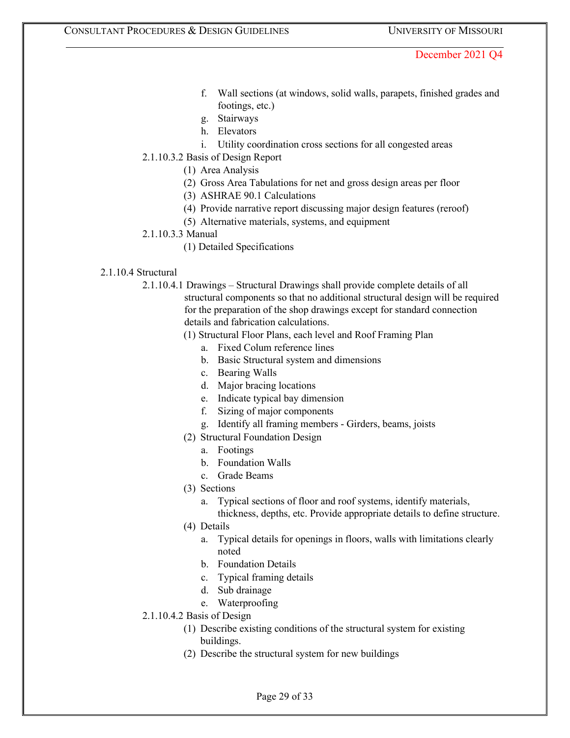- f. Wall sections (at windows, solid walls, parapets, finished grades and footings, etc.)
- g. Stairways
- h. Elevators
- i. Utility coordination cross sections for all congested areas
- 2.1.10.3.2 Basis of Design Report
	- (1) Area Analysis
	- (2) Gross Area Tabulations for net and gross design areas per floor
	- (3) ASHRAE 90.1 Calculations
	- (4) Provide narrative report discussing major design features (reroof)
	- (5) Alternative materials, systems, and equipment
- 2.1.10.3.3 Manual
	- (1) Detailed Specifications

# 2.1.10.4 Structural

2.1.10.4.1 Drawings – Structural Drawings shall provide complete details of all structural components so that no additional structural design will be required for the preparation of the shop drawings except for standard connection details and fabrication calculations.

(1) Structural Floor Plans, each level and Roof Framing Plan

- a. Fixed Colum reference lines
- b. Basic Structural system and dimensions
- c. Bearing Walls
- d. Major bracing locations
- e. Indicate typical bay dimension
- f. Sizing of major components
- g. Identify all framing members Girders, beams, joists
- (2) Structural Foundation Design
	- a. Footings
	- b. Foundation Walls
	- c. Grade Beams
- (3) Sections
	- a. Typical sections of floor and roof systems, identify materials,

thickness, depths, etc. Provide appropriate details to define structure.

- (4) Details
	- a. Typical details for openings in floors, walls with limitations clearly noted
	- b. Foundation Details
	- c. Typical framing details
	- d. Sub drainage
	- e. Waterproofing
- 2.1.10.4.2 Basis of Design
	- (1) Describe existing conditions of the structural system for existing buildings.
	- (2) Describe the structural system for new buildings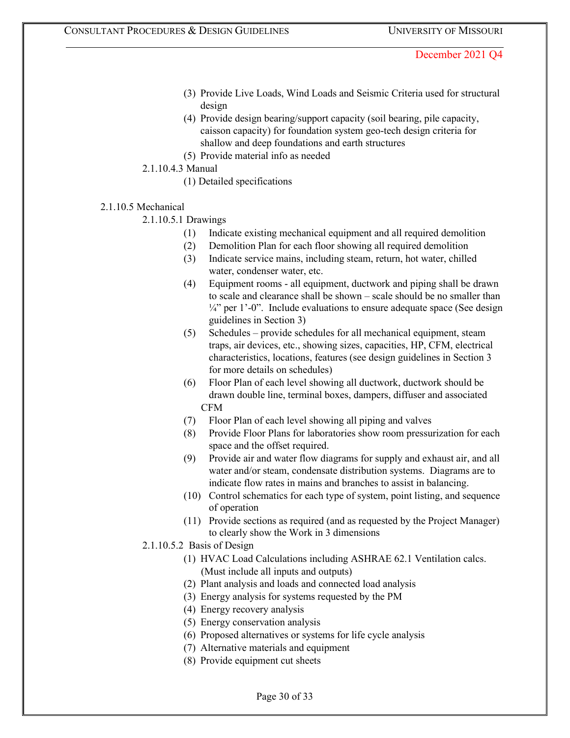- (3) Provide Live Loads, Wind Loads and Seismic Criteria used for structural design
- (4) Provide design bearing/support capacity (soil bearing, pile capacity, caisson capacity) for foundation system geo-tech design criteria for shallow and deep foundations and earth structures
- (5) Provide material info as needed
- 2.1.10.4.3 Manual
	- (1) Detailed specifications
- 2.1.10.5 Mechanical

2.1.10.5.1 Drawings

- (1) Indicate existing mechanical equipment and all required demolition
- (2) Demolition Plan for each floor showing all required demolition
- (3) Indicate service mains, including steam, return, hot water, chilled water, condenser water, etc.
- (4) Equipment rooms all equipment, ductwork and piping shall be drawn to scale and clearance shall be shown – scale should be no smaller than  $\frac{1}{4}$ " per 1'-0". Include evaluations to ensure adequate space (See design guidelines in Section 3)
- (5) Schedules provide schedules for all mechanical equipment, steam traps, air devices, etc., showing sizes, capacities, HP, CFM, electrical characteristics, locations, features (see design guidelines in Section 3 for more details on schedules)
- (6) Floor Plan of each level showing all ductwork, ductwork should be drawn double line, terminal boxes, dampers, diffuser and associated CFM
- (7) Floor Plan of each level showing all piping and valves
- (8) Provide Floor Plans for laboratories show room pressurization for each space and the offset required.
- (9) Provide air and water flow diagrams for supply and exhaust air, and all water and/or steam, condensate distribution systems. Diagrams are to indicate flow rates in mains and branches to assist in balancing.
- (10) Control schematics for each type of system, point listing, and sequence of operation
- (11) Provide sections as required (and as requested by the Project Manager) to clearly show the Work in 3 dimensions
- 2.1.10.5.2 Basis of Design
	- (1) HVAC Load Calculations including ASHRAE 62.1 Ventilation calcs. (Must include all inputs and outputs)
	- (2) Plant analysis and loads and connected load analysis
	- (3) Energy analysis for systems requested by the PM
	- (4) Energy recovery analysis
	- (5) Energy conservation analysis
	- (6) Proposed alternatives or systems for life cycle analysis
	- (7) Alternative materials and equipment
	- (8) Provide equipment cut sheets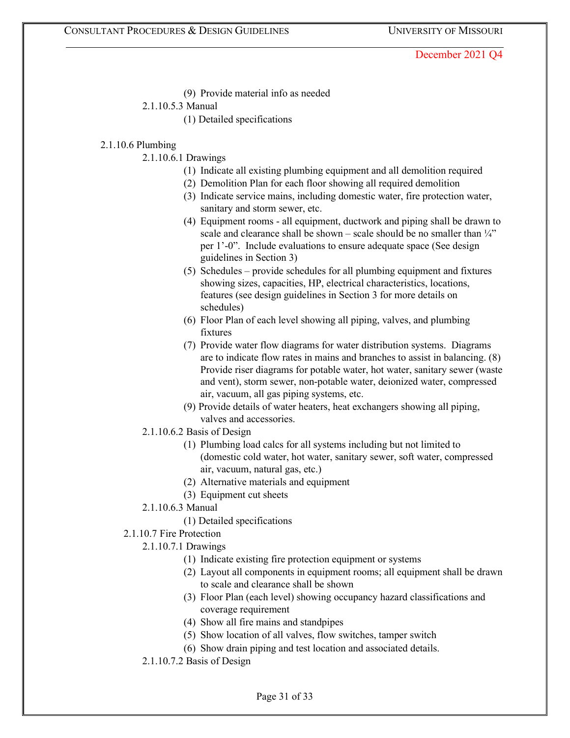(9) Provide material info as needed

# 2.1.10.5.3 Manual

(1) Detailed specifications

### 2.1.10.6 Plumbing

- 2.1.10.6.1 Drawings
	- (1) Indicate all existing plumbing equipment and all demolition required
	- (2) Demolition Plan for each floor showing all required demolition
	- (3) Indicate service mains, including domestic water, fire protection water, sanitary and storm sewer, etc.
	- (4) Equipment rooms all equipment, ductwork and piping shall be drawn to scale and clearance shall be shown – scale should be no smaller than  $\frac{1}{4}$ " per 1'-0". Include evaluations to ensure adequate space (See design guidelines in Section 3)
	- (5) Schedules provide schedules for all plumbing equipment and fixtures showing sizes, capacities, HP, electrical characteristics, locations, features (see design guidelines in Section 3 for more details on schedules)
	- (6) Floor Plan of each level showing all piping, valves, and plumbing fixtures
	- (7) Provide water flow diagrams for water distribution systems. Diagrams are to indicate flow rates in mains and branches to assist in balancing. (8) Provide riser diagrams for potable water, hot water, sanitary sewer (waste and vent), storm sewer, non-potable water, deionized water, compressed air, vacuum, all gas piping systems, etc.
	- (9) Provide details of water heaters, heat exchangers showing all piping, valves and accessories.
- 2.1.10.6.2 Basis of Design
	- (1) Plumbing load calcs for all systems including but not limited to (domestic cold water, hot water, sanitary sewer, soft water, compressed air, vacuum, natural gas, etc.)
	- (2) Alternative materials and equipment
	- (3) Equipment cut sheets
- 2.1.10.6.3 Manual
	- (1) Detailed specifications
- 2.1.10.7 Fire Protection
	- 2.1.10.7.1 Drawings
		- (1) Indicate existing fire protection equipment or systems
		- (2) Layout all components in equipment rooms; all equipment shall be drawn to scale and clearance shall be shown
		- (3) Floor Plan (each level) showing occupancy hazard classifications and coverage requirement
		- (4) Show all fire mains and standpipes
		- (5) Show location of all valves, flow switches, tamper switch
		- (6) Show drain piping and test location and associated details.
	- 2.1.10.7.2 Basis of Design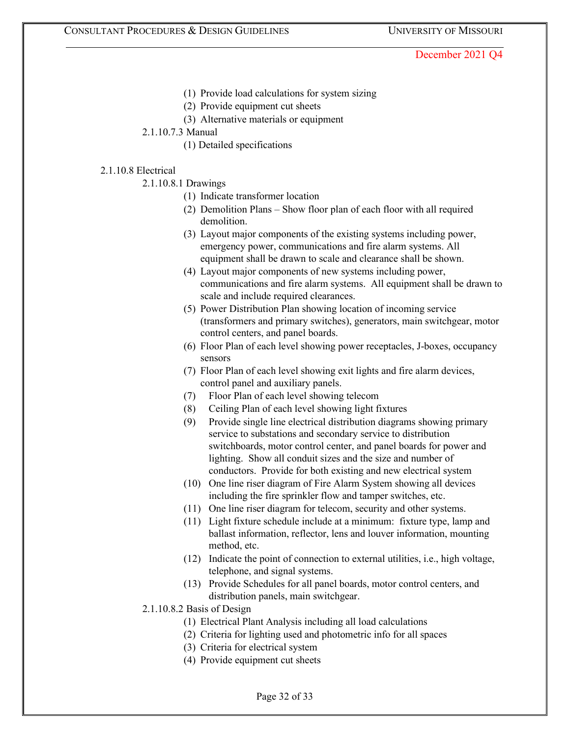- (1) Provide load calculations for system sizing
- (2) Provide equipment cut sheets
- (3) Alternative materials or equipment
- 2.1.10.7.3 Manual
	- (1) Detailed specifications

### 2.1.10.8 Electrical

- 2.1.10.8.1 Drawings
	- (1) Indicate transformer location
	- (2) Demolition Plans Show floor plan of each floor with all required demolition.
	- (3) Layout major components of the existing systems including power, emergency power, communications and fire alarm systems. All equipment shall be drawn to scale and clearance shall be shown.
	- (4) Layout major components of new systems including power, communications and fire alarm systems. All equipment shall be drawn to scale and include required clearances.
	- (5) Power Distribution Plan showing location of incoming service (transformers and primary switches), generators, main switchgear, motor control centers, and panel boards.
	- (6) Floor Plan of each level showing power receptacles, J-boxes, occupancy sensors
	- (7) Floor Plan of each level showing exit lights and fire alarm devices, control panel and auxiliary panels.
	- (7) Floor Plan of each level showing telecom
	- (8) Ceiling Plan of each level showing light fixtures
	- (9) Provide single line electrical distribution diagrams showing primary service to substations and secondary service to distribution switchboards, motor control center, and panel boards for power and lighting. Show all conduit sizes and the size and number of conductors. Provide for both existing and new electrical system
	- (10) One line riser diagram of Fire Alarm System showing all devices including the fire sprinkler flow and tamper switches, etc.
	- (11) One line riser diagram for telecom, security and other systems.
	- (11) Light fixture schedule include at a minimum: fixture type, lamp and ballast information, reflector, lens and louver information, mounting method, etc.
	- (12) Indicate the point of connection to external utilities, i.e., high voltage, telephone, and signal systems.
	- (13) Provide Schedules for all panel boards, motor control centers, and distribution panels, main switchgear.
- 2.1.10.8.2 Basis of Design
	- (1) Electrical Plant Analysis including all load calculations
	- (2) Criteria for lighting used and photometric info for all spaces
	- (3) Criteria for electrical system
	- (4) Provide equipment cut sheets